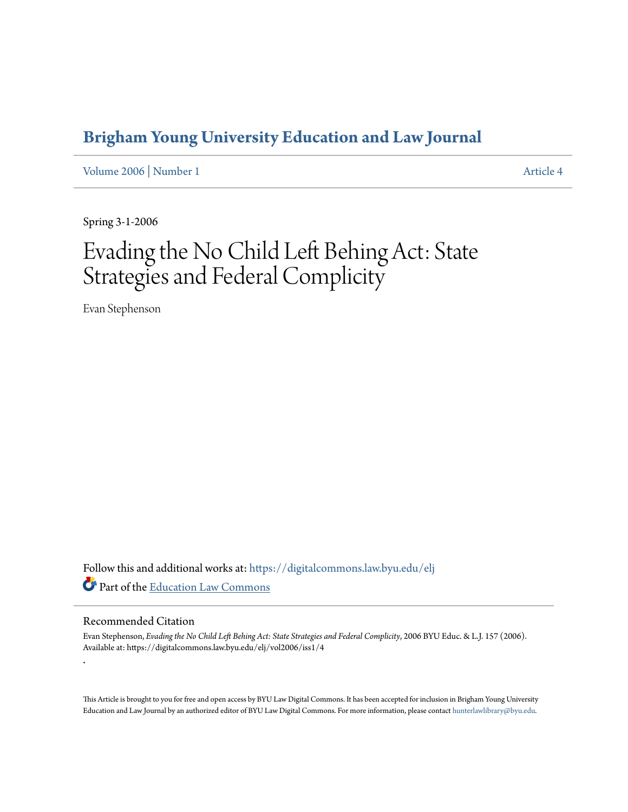### **[Brigham Young University Education and Law Journal](https://digitalcommons.law.byu.edu/elj?utm_source=digitalcommons.law.byu.edu%2Felj%2Fvol2006%2Fiss1%2F4&utm_medium=PDF&utm_campaign=PDFCoverPages)**

[Volume 2006](https://digitalcommons.law.byu.edu/elj/vol2006?utm_source=digitalcommons.law.byu.edu%2Felj%2Fvol2006%2Fiss1%2F4&utm_medium=PDF&utm_campaign=PDFCoverPages) | [Number 1](https://digitalcommons.law.byu.edu/elj/vol2006/iss1?utm_source=digitalcommons.law.byu.edu%2Felj%2Fvol2006%2Fiss1%2F4&utm_medium=PDF&utm_campaign=PDFCoverPages) [Article 4](https://digitalcommons.law.byu.edu/elj/vol2006/iss1/4?utm_source=digitalcommons.law.byu.edu%2Felj%2Fvol2006%2Fiss1%2F4&utm_medium=PDF&utm_campaign=PDFCoverPages)

Spring 3-1-2006

# Evading the No Child Left Behing Act: State Strategies and Federal Complicity

Evan Stephenson

Follow this and additional works at: [https://digitalcommons.law.byu.edu/elj](https://digitalcommons.law.byu.edu/elj?utm_source=digitalcommons.law.byu.edu%2Felj%2Fvol2006%2Fiss1%2F4&utm_medium=PDF&utm_campaign=PDFCoverPages) Part of the [Education Law Commons](http://network.bepress.com/hgg/discipline/596?utm_source=digitalcommons.law.byu.edu%2Felj%2Fvol2006%2Fiss1%2F4&utm_medium=PDF&utm_campaign=PDFCoverPages)

#### Recommended Citation

.

Evan Stephenson, *Evading the No Child Left Behing Act: State Strategies and Federal Complicity*, 2006 BYU Educ. & L.J. 157 (2006). Available at: https://digitalcommons.law.byu.edu/elj/vol2006/iss1/4

This Article is brought to you for free and open access by BYU Law Digital Commons. It has been accepted for inclusion in Brigham Young University Education and Law Journal by an authorized editor of BYU Law Digital Commons. For more information, please contact [hunterlawlibrary@byu.edu.](mailto:hunterlawlibrary@byu.edu)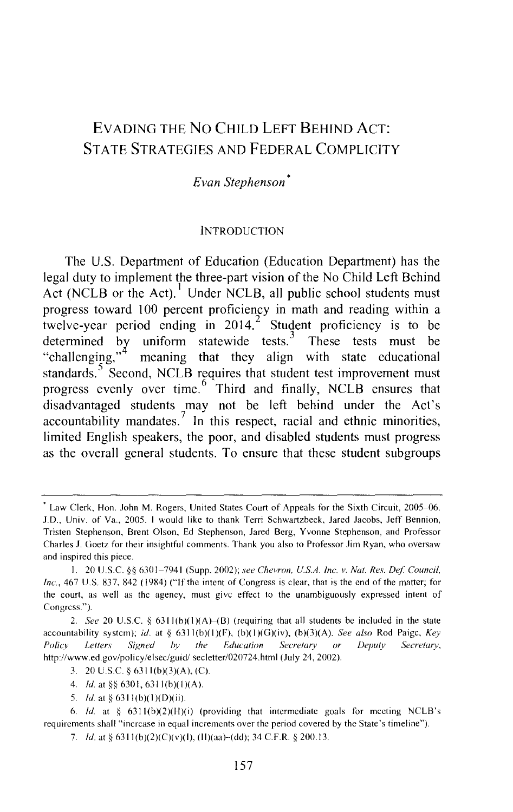### EVADING THE No CHILD LEFT BEHIND AcT: STATE STRATEGIES AND FEDERAL COMPLICITY

#### *Evan Stephenson* •

#### **INTRODUCTION**

The U.S. Department of Education (Education Department) has the legal duty to implement the three-part vision of the No Child Left Behind Act (NCLB or the Act).<sup>1</sup> Under NCLB, all public school students must progress toward 100 percent proficiency in math and reading within a twelve-year period ending in 2014.<sup>2</sup> Student proficiency is to be determined by uniform statewide tests.<sup>3</sup> These tests must be "challenging," meaning that they align with state educational standards.<sup>5</sup> Second, NCLB requires that student test improvement must progress evenly over time.  $6 \text{ }^{\circ}$  Third and finally, NCLB ensures that disadvantaged students may not be left behind under the Act's accountability mandates.<sup>7</sup> In this respect, racial and ethnic minorities, limited English speakers, the poor, and disabled students must progress as the overall general students. To ensure that these student subgroups

<sup>&#</sup>x27; Law Clerk, Hon. John M. Rogers, United States Court of Appeals for the Sixth Circuit, 2005-06. J.D., Univ. of Va., 2005. I would like to thank Terri Schwartzbeck, Jared Jacobs, Jeff Bennion, Tristen Stephenson, Brent Olson, Ed Stephenson, Jared Berg, Yvonne Stephenson, and Professor Charles J. Goetz for their insightful comments. Thank you also to Professor Jim Ryan, who oversaw and inspired this piece.

I. 20 U.S.C. §§ 6301-7941 (Supp. 2002); *see Chevron, U.S.A. Inc. v. Nat. Res. Def Council, Inc.,* 467 U.S. 837, 842 (1984) ("If the intent of Congress is clear, that is the end of the matter; for the court, as well as the agency, must give effect to the unambiguously expressed intent of Congress.").

<sup>2.</sup> *See* 20 U.S.C. § 6311(b)(1)(A)–(B) (requiring that all students be included in the state accountability system); *id.* at§ 6311(b)(I)(F), (b)(I)(G)(iv), (b)(3)(A). *See also* Rod Paige, *Key Policy Letters Signed by the Education Secretary or Deputy Secretary,* http://www.ed.gov/policy/elsec/guid/ secletter/020724.html (July 24, 2002).

<sup>3. 20</sup> U.S.C. § 63ll(b)(3)(A), (C).

<sup>4.</sup> *!d.* at§§ 6301, 6311(b)(I)(A).

<sup>5.</sup> *ld.* at § 6311(b)(1)(D)(ii).

<sup>6.</sup> *ld.* at  $\S$  6311(b)(2)(H)(i) (providing that intermediate goals for meeting NCLB's requirements shall "increase in equal increments over the period covered by the State's timeline").

<sup>7.</sup> *ld.* at § 6311(b)(2)(C)(v)(l), (II)(aa)–(dd); 34 C.F.R. § 200.13.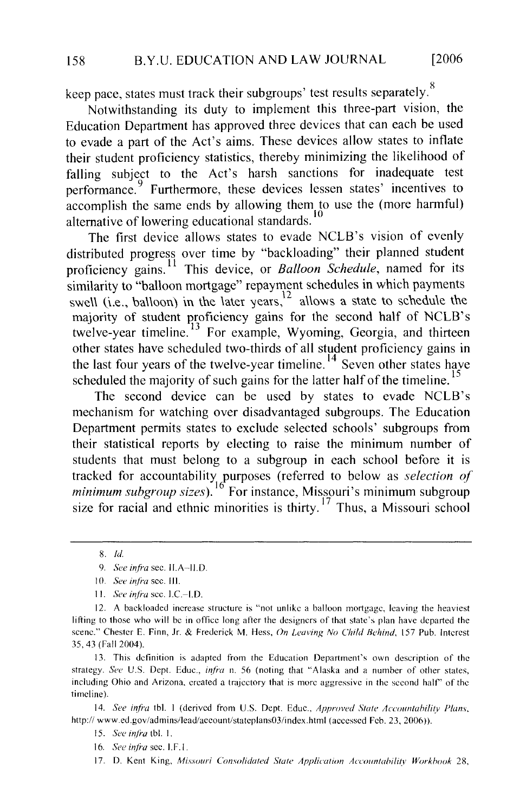$\mathbb{R}$ keep pace, states must track their subgroups' test results separately.

Notwithstanding its duty to implement this three-part vision, the Education Department has approved three devices that can each be used to evade a part of the Act's aims. These devices allow states to inflate their student proficiency statistics, thereby minimizing the likelihood of falling subject to the Act's harsh sanctions for inadequate test performance. <sup>9</sup> Furthermore, these devices lessen states' incentives to accomplish the same ends by allowing them to use the (more harmful) proficiency alternative of lowering educational standards.<sup>10</sup><br>The first device allows states to evade NCLB's vision of evenly

The first device allows states to evade NCLB s vision of evenly distributed progress over time by "backloading" their planned student proficiency gains.<sup>11</sup> This device, or Balloon Schedule, named for its similarity to "balloon mortgage" repayment schedules in which payments swell (i.e., balloon) in the later years,<sup>12</sup> allows a state to schedule the majority of student proficiency gains for the second half of NCLB's twelve-year timeline.<sup>13</sup> For example, Wyoming, Georgia, and thirteen other states have scheduled two-thirds of all student proficiency gains in the last four years of the twelve-year timeline.<sup>14</sup> Seven other states have scheduled the majority of such gains for the latter half of the timeline.<sup>15</sup>

The second device can be used by states to evade NCLB's mechanism for watching over disadvantaged subgroups. The Education Department permits states to exclude selected schools' subgroups from their statistical reports by electing to raise the minimum number of students that must belong to a subgroup in each school before it is tracked for accountability purposes (referred to below as *selection of minimum subgroup sizes*).<sup>16</sup> For instance, Missouri's minimum subgroup size for racial and ethnic minorities is thirty.<sup>17</sup> Thus, a Missouri school

strategy. *See U.S.* Dept. Educ., *infra* n. 56 (noting that "Alaska and a number of other states,  $\frac{1}{2}$  strategy, bee 0.5, Dept. Lutter,  $\frac{1}{2}$   $\frac{1}{2}$  and  $\frac{1}{2}$   $\frac{1}{2}$  and  $\frac{1}{2}$  and  $\frac{1}{2}$  and  $\frac{1}{2}$  and  $\frac{1}{2}$  and  $\frac{1}{2}$  and  $\frac{1}{2}$  and  $\frac{1}{2}$  and  $\frac{1}{2}$  and  $\frac{1}{2}$  and  $\frac{$ 15. S~:~: *infra* tbl. I. timeline).<br>14. *See infra* tbl. 1 (derived from U.S. Dept. Educ., *Approved State Accountability Plans*,

http:// www.ed.gov/admins/lead/account/stateplans03/index.html (accessed Feb. 23, 2006)).

15. See infra tbl. 1.

<sup>8.</sup> *Id.* 

<sup>9.</sup> See infra sec. II.A-II.D.

 $\Omega$  is the in office local behavior. The designers of the designers of the departed the departed the departed the departed the departed the departement of the departement of the departed the departement of the departemen

scene." Chester E. Finn, Jr. & Frederick M. Hess, *On Leaving No Child Hehind,* 157 Pub. Interest 11. See infra sec. I.C. $-$ I.D.

<sup>12.</sup> A backloaded increase structure is "not unlike a balloon mortgage, leaving the heaviest lifting to those who will be in office long after the designers of that state's plan have departed the strategy. Says the who will be in order only after the designers of that state's plan have departed the scene. Chester E. Funt,  $\pi$ .  $\alpha$  Frederick M. Hess, *Oh Leaving No Chita Benina*, 157 Fub. interes 35, 43 (Fall 2004).<br>13. This definition is adapted from the Education Department's own description of the

<sup>16.</sup> See infra see, I.F.I.

<sup>17.</sup> D. Kent King, Missouri Consolidated State Application Accountability Workbook 28,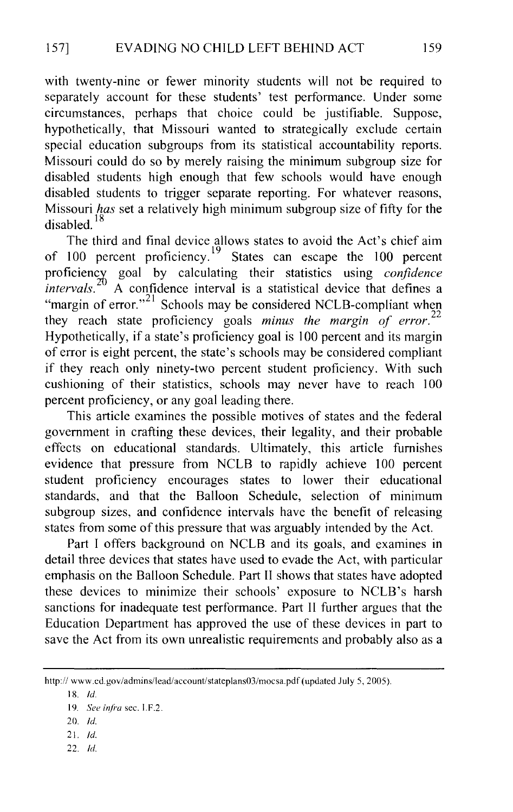with twenty-nine or fewer minority students will not be required to separately account for these students' test performance. Under some circumstances, perhaps that choice could be justifiable. Suppose, hypothetically, that Missouri wanted to strategically exclude certain special education subgroups from its statistical accountability reports. Missouri could do so by merely raising the minimum subgroup size for disabled students high enough that few schools would have enough disabled students to trigger separate reporting. For whatever reasons, Missouri *has* set a relatively high minimum subgroup size of fifty for the disabled. 18

The third and final device allows states to avoid the Act's chief aim of 100 percent proficiency.<sup>19</sup> States can escape the 100 percent proficiency goal by calculating their statistics using *confidence intervals.* <sup>20</sup> A confidence interval is a statistical device that defines a "margin of error."<sup>21</sup> Schools may be considered NCLB-compliant when they reach state proficiency goals *minus the margin of error.*  22 Hypothetically, if a state's proficiency goal is 100 percent and its margin of error is eight percent, the state's schools may be considered compliant if they reach only ninety-two percent student proficiency. With such cushioning of their statistics, schools may never have to reach 100 percent proficiency, or any goal leading there.

This article examines the possible motives of states and the federal government in crafting these devices, their legality, and their probable effects on educational standards. Ultimately, this article furnishes evidence that pressure from NCLB to rapidly achieve 100 percent student proficiency encourages states to lower their educational standards, and that the Balloon Schedule, selection of minimum subgroup sizes, and confidence intervals have the benefit of releasing states from some of this pressure that was arguably intended by the Act.

Part I offers background on NCLB and its goals, and examines in detail three devices that states have used to evade the Act, with particular emphasis on the Balloon Schedule. Part II shows that states have adopted these devices to minimize their schools' exposure to NCLB's harsh sanctions for inadequate test performance. Part II further argues that the Education Department has approved the use of these devices in part to save the Act from its own unrealistic requirements and probably also as a

- 21. *!d.*
- 22. *!d.*

http:// www.cd.gov/admins/lead/account/stateplans03/mocsa.pdf (updated July 5, 2005).

<sup>18.</sup> /d.

<sup>19.</sup> *See infra* sec. I.F.2.

<sup>20.</sup> *!d.*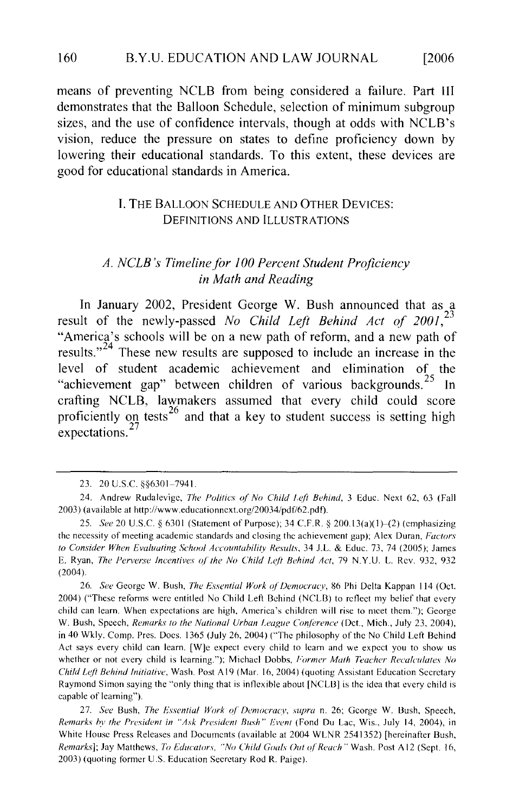means of preventing NCLB from being considered a failure. Part III demonstrates that the Balloon Schedule, selection of minimum subgroup sizes, and the use of confidence intervals, though at odds with NCLB's vision, reduce the pressure on states to define proficiency down by I. Calculational standards. To this extent, these  $\alpha$ DEFINITIONS AND ILLUSTRATIONS.

#### **L. THE BALLOON SCHEDULE AND OTHER DEVICES: DEFINITIONS AND ILLUSTRATIONS**

#### A. NCLB's Timeline for 100 Percent Student Proficiency in Math and Reading

 $\frac{1}{2000}$   $\frac{1}{2000}$   $\frac{1}{2000}$   $\frac{1}{2000}$   $\frac{1}{2000}$   $\frac{1}{2000}$   $\frac{1}{2000}$   $\frac{1}{2000}$   $\frac{1}{2000}$   $\frac{1}{2000}$   $\frac{1}{2000}$   $\frac{1}{2000}$   $\frac{1}{2000}$   $\frac{1}{2000}$   $\frac{1}{2000}$   $\frac{1}{2000}$   $\frac{1}{2000}$  In January 2002, President George W. Bush announced that as a result of the newly-passed No Child Left Behind Act of 2001,<sup>23</sup><br>"America's schools will be on a new path of reform, and a new path of results. $v<sup>24</sup>$  These new results are supposed to include an increase in the level of student academic achievement and elimination of the "achievement gap" between children of various backgrounds.<sup>25</sup> In crafting NCLB, lawmakers assumed that every child could score proficiently on tests<sup>26</sup> and that a key to student success is setting high  $expectations.<sup>27</sup>$ 

2003) (available at http://www.educationncxt.org/20034/pdf/62.pdf).

<sup>23. 20</sup> U.S.C. § § 6301-7941.

<sup>24.</sup> Andrew Rudalevige, The Politics of No Child Left Behind, 3 Educ. Next 62, 63 (Fall 2003) (available at http://www.educationncxt.org/20034/pdf/62.pdf).

<sup>25.</sup> See 20 U.S.C. § 6301 (Statement of Purpose); 34 C.F.R. § 200.13(a)(1)–(2) (emphasizing the necessity of meeting academic standards and closing the achievement gap); Alex Duran, *Factors* to Consider When Evaluating School Accountability Results, 34 J.L. & Educ. 73, 74 (2005); James E. Ryan, The Perverse Incentives of the No Child Left Behind Act, 79 N.Y.U. L. Rev. 932, 932  $c_1$  and  $c_2$  are high, America's children will rise to meet them.  $c_1$  rise to meet them.  $c_2$  to meet them.  $c_3$  and  $c_4$  are to meet them.

<sup>26.</sup> See George W. Bush, The Essential Work of Democracy, 86 Phi Delta Kappan 114 (Oct. 2004) ("These reforms were entitled No Child Left Behind (NCLB) to reflect my belief that every child can learn. When expectations are high, America's children will rise to meet them."); George W. Bush, Speech, *Remarks to the National Urban League Conference* (Dct., Mich., July 23, 2004), in 40 Wkly. Comp. Pres. Docs. 1365 (July 26, 2004) ("The philosophy of the No Child Left Behind Act says every child can learn. [W]e expect every child to learn and we expect you to show us whether or not every child is learning."); Michael Dobbs, Former Math Teacher Recalculates No *Child Left Behind Initiative*, Wash. Post A19 (Mar. 16, 2004) (quoting Assistant Education Secretary *Raymond Simon saying the "only thing that is inflexible about [NCLB] is the idea that every child is* capable of learning").

<sup>27.</sup> See Bush, *The Essential Work of Democracy*, supra n. 26; Gcorge W. Bush, Speech, Remarks by the President in "Ask President Bush" Event (Fond Du Lac, Wis., July 14, 2004), in White House Press Releases and Documents (available at 2004 WLNR 2541352) [hereinafter Bush, Remarks]; Jay Matthews, To Educators, "No Child Goals Out of Reach" Wash. Post A12 (Sept. 16, 2003) (quoting former U.S. Education Secretary Rod R. Paige).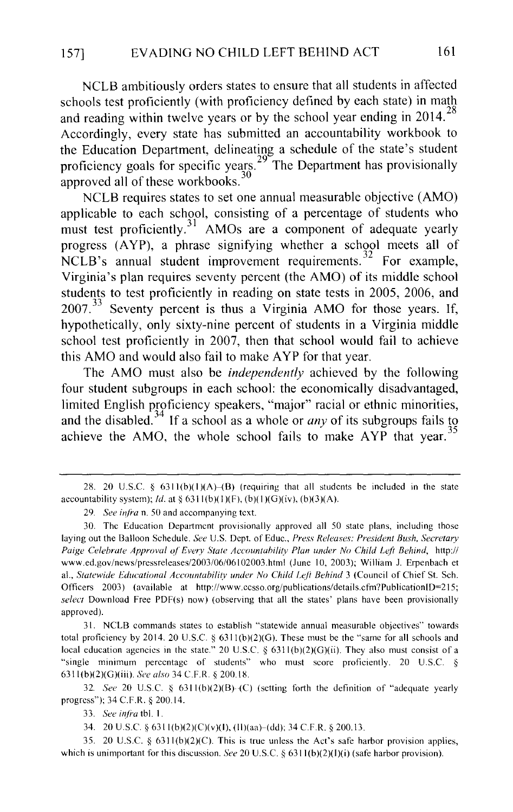NCLB ambitiously orders states to ensure that all students in affected schools test proficiently (with proficiency defined by each state) in math and reading within twelve years or by the school year ending in  $2014$ <sup>28</sup> Accordingly, every state has submitted an accountability workbook to the Education Department, delineating a schedule of the state's student proficiency goals for specific years.<sup>29</sup> The Department has provisionally approved all of these workbooks.<sup>30</sup>

NCLB requires states to set one annual measurable objective (AMO) applicable to each school, consisting of a percentage of students who must test proficiently.<sup>31</sup> AMOs are a component of adequate yearly progress (A YP), a phrase signifying whether a school meets all of NCLB's annual student improvement requirements.<sup>32</sup> For example, Virginia's plan requires seventy percent (the AMO) of its middle school students to test proficiently in reading on state tests in 2005, 2006, and 2007.<sup>33</sup> Seventy percent is thus a Virginia AMO for those years. If, hypothetically, only sixty-nine percent of students in a Virginia middle school test proficiently in 2007, then that school would fail to achieve this AMO and would also fail to make A YP for that year.

The AMO must also be *independently* achieved by the following four student subgroups in each school: the economically disadvantaged, limited English proficiency speakers, "major" racial or ethnic minorities, and the disabled.<sup>34</sup> If a school as a whole or *any* of its subgroups fails to achieve the AMO, the whole school fails to make  $AYP$  that year.<sup>35</sup>

32. *See* 20 U.S.C. § 6311(b)(2)(B)-(C) (setting forth the definition of "adequate yearly progress"); 34 C.F.R. § 200.14.

35. 20 U.S.C. § 63ll(b)(2)(C). This is true unless the Act's safe harbor provision applies, which is unimportant for this discussion. *See* 20 U.S.C. § 6311(b)(2)(I)(i) (safe harbor provision).

<sup>28. 20</sup> U.S.C. §  $6311(b)(1)(A)$ -(B) (requiring that all students be included in the state accountability system); *ld.* at  $\S$  6311(b)(1)(F), (b)(1)(G)(iv), (b)(3)(A).

<sup>29.</sup> *See infra* n. 50 and accompanying text.

<sup>30.</sup> The Education Department provisionally approved all 50 state plans, including those laying out the Balloon Schedule. *See* U.S. Dept. of Educ., *Press Releases: President Bush, Secretary Paige Celebrate Approval of Every State Accountability Plan under No Child Left Behind,* http:// www.ed.gov/news/prcssrelcases/2003/06/06102003.html (June 10, 2003); William J. Erpenbach et al., Statewide Educational Accountability under No Child Left Behind 3 (Council of Chief St. Sch. Officers 2003) (available at http://www.ccsso.org/publications/details.cfm?PublicationiD=215; *select* Download Free PDF(s) now) (observing that all the states' plans have been provisionally approved).

<sup>31.</sup> NCLB commands states to establish "statewide annual measurable objectives" towards total proficiency by 2014. 20 U.S.C.  $\S$  6311(b)(2)(G). These must be the "same for all schools and local education agencies in the state." 20 U.S.C. § 6311(b)(2)(G)(ii). They also must consist of a "single minimum percentage of students" who must score proficiently. 20 U.S.C. § 63ll(b)(2)(G)(iii). *See also* 34 C.F.R. § 200.18.

<sup>33.</sup> *See inji·a* tbl. I.

<sup>34. 20</sup> U.S.C. *§* 63ll(b)(2)(C)(v)(l), (ll)(aa)-(dd); 34 C.F.R. § 200.13.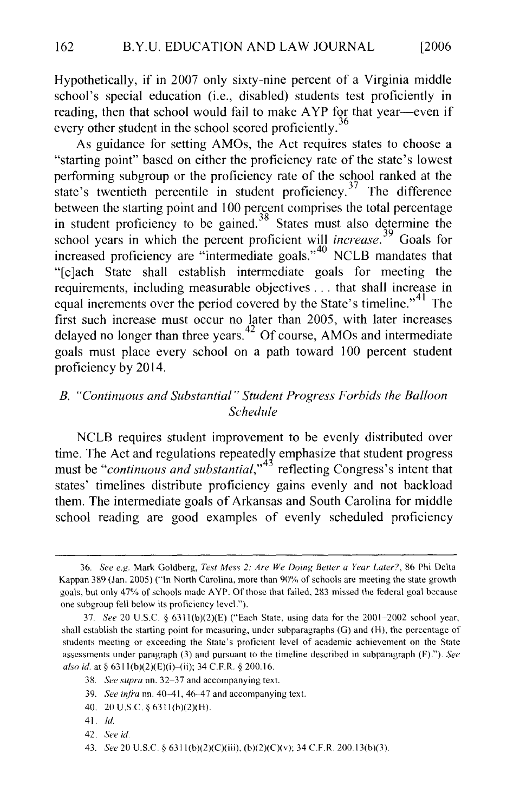school's special education (i.e., disabled) students test proficiently in Hypothetically, if in  $200/$  only sixty-nine percent of a Virginia middle school's special education (i.e., disabled) students test proficiently in reading, then that school would fail to make AYP for that year—even if every other student in the school scored proficiently.<sup>36</sup>

As guidance for setting AMOs, the Act requires states to choose a "starting point" based on either the proficiency rate of the state's lowest performing subgroup or the proficiency rate of the school ranked at the state's twentieth percentile in student proficiency.<sup>37</sup> The difference between the starting point and 100 percent comprises the total percentage. in student proficiency to be gained.<sup>38</sup> States must also determine the school years in which the percent proficient will *increase*.<sup>39</sup> Goals for increased proficiency are "intermediate goals."<sup>40</sup> NCLB mandates that "[e]ach State shall establish intermediate goals for meeting the requirements, including measurable objectives ... that shall increase in equal increments over the period covered by the State's timeline."<sup>41</sup> The Tirst such increase must occur no later than  $2003$ , with later increases delayed no longer tr proficiency by 2014.

#### B. "Continuous and Substantial" Student Progress Forbids the Balloon Schedule

MCLB requires student improvement to be evenly distributed over time. The Act and regulations repeatedly emphasize that student progress must be "*continuous and substantial*," reflecting Congress's intent that states' timelines distribute proficiency gains evenly and not backload them. The intermediate goals of Arkansas and South Carolina for middle school reading are good examples of evenly scheduled proficiency

Kappan 389 (Jan. 2005) ("In North Carolina, more than 90'% of schools arc meeting the state growth

<sup>36.</sup> See e.g. Mark Goldberg, Test Mess 2: Are We Doing Better a Year Later?, 86 Phi Delta Kappan 389 (Jan. 2005) ("In North Carolina, more than 90% of schools are meeting the state growth goals, but only 47% of schools made AYP. Of those that failed, 283 missed the federal goal because one subgroup fell below its proficiency level.").

<sup>37.</sup> See 20 U.S.C. §  $6311(b)(2)(E)$  ("Each State, using data for the 2001-2002 school year, shall establish the starting point for measuring, under subparagraphs (G) and (H), the percentage of students meeting or exceeding the State's proficient level of academic achievement on the State assessments under paragraph (3) and pursuant to the timeline described in subparagraph (F)."). See also id. at  $\S 6311(b)(2)(E)(i)$ -(ii); 34 C.F.R.  $\S 200.16$ .

<sup>38.</sup> See supra nn. 32-37 and accompanying text.

<sup>39.</sup> See infra nn. 40-41, 46-47 and accompanying text.

<sup>40. 20</sup> U.S.C. § 6311(b)(2)(H).

<sup>41.</sup> *Id.* 

<sup>42.</sup> See id.

<sup>43.</sup> See 20 U.S.C. § 6311(b)(2)(C)(iii), (b)(2)(C)(v); 34 C.F.R. 200.13(b)(3).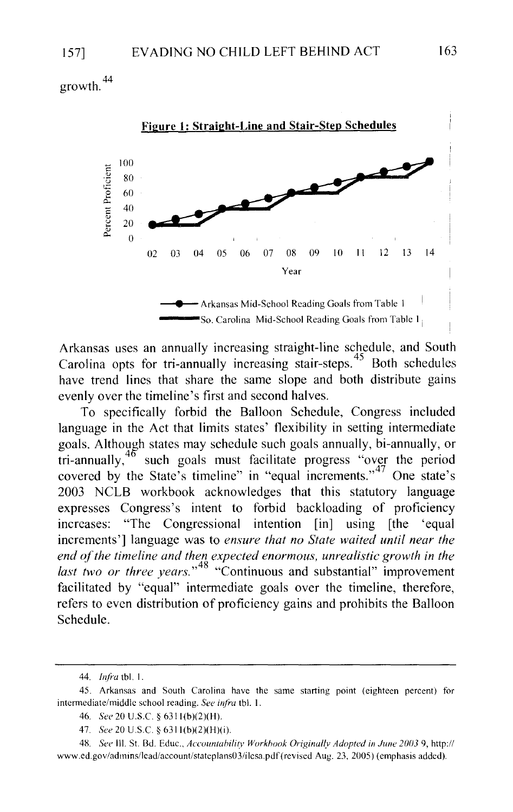44 growth.



Arkansas uses an annually increasing straight-line schedule, and South Carolina opts for tri-annually increasing stair-steps.<sup>45</sup> Both schedules have trend lines that share the same slope and both distribute gains evenly over the timeline's first and second halves.

To specifically forbid the Balloon Schedule, Congress included language in the Act that limits states' flexibility in setting intermediate goals. Although states may schedule such goals annually, bi-annually, or tri-annually,  $46$  such goals must facilitate progress "over the period covered by the State's timeline" in "equal increments."<sup>47</sup> One state's 2003 NCLB workbook acknowledges that this statutory language expresses Congress's intent to forbid backloading of proficiency increases: "The Congressional intention [in] using [the 'equal increments'] language was to *ensure that no State waited until near the*  end of the timeline and then expected enormous, unrealistic growth in the *last two or three years.* " 48 "Continuous and substantial" improvement facilitated by "equal" intermediate goals over the timeline, therefore, refers to even distribution of proficiency gains and prohibits the Balloon Schedule.

<sup>44.</sup> *Infra* tbl. I .

<sup>45.</sup> Arkansas and South Carolina have the same starting point (eighteen percent) for intermediate/middle school reading. *See infra* tbl. I.

<sup>46.</sup> *See* 20 U.S.C. § 6311(b)(2)(H).

<sup>47.</sup> *See* 20 U.S.C. § 6311(b)(2)(H)(i).

<sup>4</sup>g. *See* Ill. St. Bd. Educ., *Accountahilitv Workhook Originally Adopted in June 2003* 9, http:// www.ed.gov/admins/lcad/account/statcplans03/ilcsa.pdf(revised Aug. 23, 2005) (emphasis added).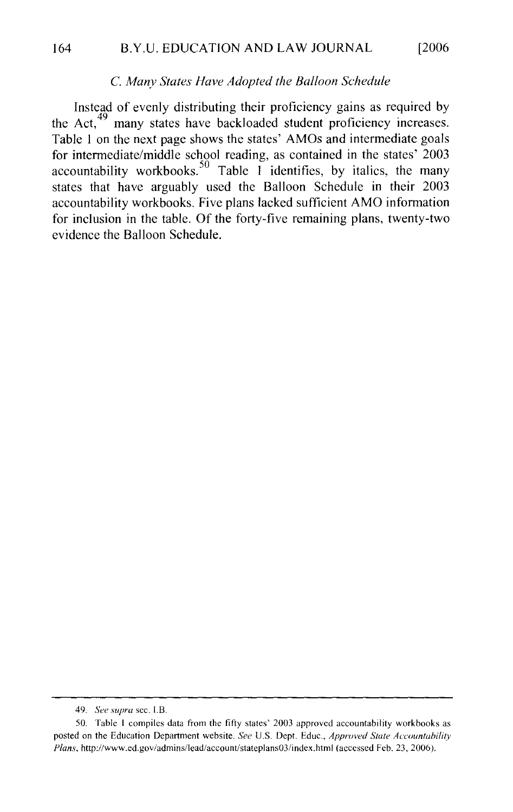#### C. Many States Have Adopted the Balloon Schedule  $\mathcal{L}$ many states have backloaded student proficiency increases.

Instead of evenly distributing their proficiency gains as required by the Act,  $49$  many states have backloaded student proficiency increases. Table 1 on the next page shows the states' AMOs and intermediate goals or intermediate/middle school reading, as contained in the states' 2003 ccountability workbooks.<sup>30</sup> Table 1 identifies, by italics, the many states that have arguably used the Balloon Schedule in their 2003 accountability workbooks. Five plans lacked sufficient AMO information for inclusion in the table. Of the forty-five remaining plans, twenty-two evidence the Balloon Schedule.

posted on the Education Department website. *See* U.S. Dept. Educ., *Approved State Accountability* 

*Plansier See supra sec. I.B.*<br> **Plans** 1 compiles data from the fifty states' 2003 approved accountability workbooks as posted on the Education Department website. See U.S. Dept. Educ., Approved State Accountability Plans, http://www.ed.gov/admins/lead/account/stateplans03/index.html (accessed Feb. 23, 2006).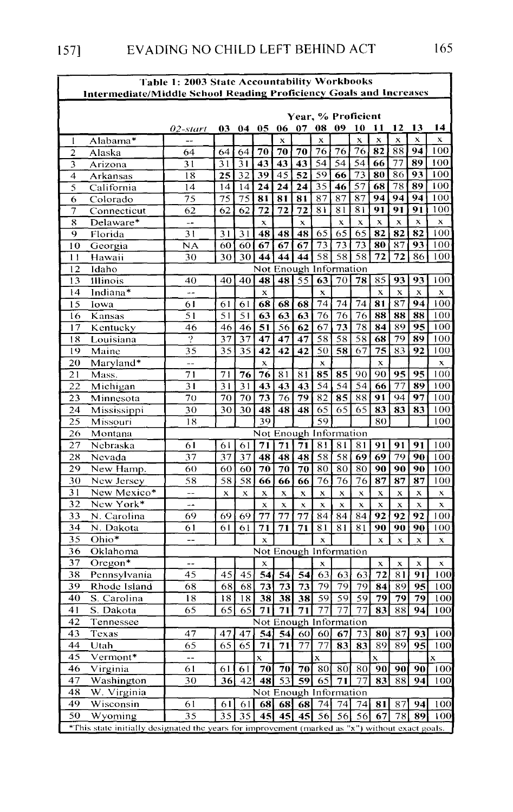| Table 1: 2003 State Accountability Workbooks                              |                                                                                                 |                          |      |                           |                        |             |    |                                 |                           |                   |                           |                                 |                    |             |  |
|---------------------------------------------------------------------------|-------------------------------------------------------------------------------------------------|--------------------------|------|---------------------------|------------------------|-------------|----|---------------------------------|---------------------------|-------------------|---------------------------|---------------------------------|--------------------|-------------|--|
| <b>Intermediate/Middle School Reading Proficiency Goals and Increases</b> |                                                                                                 |                          |      |                           |                        |             |    |                                 |                           |                   |                           |                                 |                    |             |  |
|                                                                           | Year, % Proficient                                                                              |                          |      |                           |                        |             |    |                                 |                           |                   |                           |                                 |                    |             |  |
|                                                                           |                                                                                                 |                          |      |                           |                        |             |    |                                 | 09                        |                   |                           |                                 |                    | 14          |  |
|                                                                           |                                                                                                 | 02-start<br>--           | 03 - | 04 05                     |                        | 06          | 07 | 08<br>$\boldsymbol{\mathsf{x}}$ |                           | 10<br>$\mathbf x$ | 11<br>X                   | 12<br>$\boldsymbol{\mathsf{x}}$ | -13<br>$\mathbf x$ | $\mathbf x$ |  |
| 1<br>$\overline{2}$                                                       | Alabama*                                                                                        | 64                       | 64   | 64                        | 70                     | x<br>70     | 70 | 76                              | 76                        | 76                | 82                        | 88                              | 94                 | 100         |  |
| 3                                                                         | Alaska<br>Arizona                                                                               | 31                       | 31   | 31                        | 43                     | 43          | 43 | 54                              | 54                        | 54                | 66                        | 77                              | 89                 | 100         |  |
| 4                                                                         | Arkansas                                                                                        | 18                       | 25   | 32                        | 39                     | 45          | 52 | 59                              | 66                        | 73                | 80                        | 86                              | 93                 | 100         |  |
| 5                                                                         | California                                                                                      | 14                       | 14   | 14                        | 24                     | 24          | 24 | 35                              | 46                        | 57                | 68                        | 78                              | 89                 | 100         |  |
| 6                                                                         | Colorado                                                                                        | 75                       | 75   | 75                        | 81                     | 81          | 81 | 87                              | 87                        | 87                | 94                        | 94                              | 94                 | 100         |  |
| 7                                                                         | Connecticut                                                                                     | 62                       | 62   | 62                        | 72                     | 72          | 72 | 81                              | 81                        | 81                | 91                        | 91                              | 91                 | 100         |  |
| 8                                                                         | Delaware*                                                                                       | $-$                      |      |                           | X                      |             | x  |                                 | $\mathbf{x}$              | $\mathbf{x}$      | $\mathbf x$               | x                               | x                  | x           |  |
| 9                                                                         | Florida                                                                                         | 31                       | 31   | 31                        | 48                     | 48          | 48 | 65                              | 65                        | 65                | 82                        | 82                              | 82                 | 100         |  |
| 10                                                                        | Georgia                                                                                         | NΑ                       | 60   | 60                        | 67                     | 67          | 67 | 73                              | 73                        | 73                | 80                        | 87                              | 93                 | 100         |  |
| $\mathbf{1}$                                                              | Hawaii                                                                                          | 30                       | 30   | 30                        | 44                     | 44          | 44 | 58                              | 58                        | 58                | 72                        | 72                              | 86                 | 100         |  |
| 12                                                                        | Idaho                                                                                           | Not Enough Information   |      |                           |                        |             |    |                                 |                           |                   |                           |                                 |                    |             |  |
| 13                                                                        | Illinois                                                                                        | 40                       | 40   | 40                        | 48                     | 48          | 55 | 63                              | 70                        | 78                | 85                        | 93                              | 93                 | 100         |  |
| 14                                                                        | Indiana*                                                                                        | $\overline{a}$           |      |                           | x                      |             |    | $\mathbf{x}$                    |                           |                   | $\mathbf{x}$              | $\mathbf x$                     | X                  | x           |  |
| 15                                                                        | Iowa                                                                                            | 61                       | 61   | 61                        | 68                     | 68          | 68 | 74                              | 74                        | 74                | 81                        | 87                              | 94                 | 100         |  |
| 16                                                                        | Kansas                                                                                          | 51                       | 51   | 51                        | 63                     | 63          | 63 | 76                              | $\overline{76}$           | 76                | 88                        | 88                              | 88                 | 100         |  |
| 17                                                                        | Kentucky                                                                                        | 46                       | 46   | 46                        | 51                     | 56          | 62 | 67                              | 73                        | 78                | 84                        | 89                              | 95                 | 100         |  |
| 18                                                                        | Louisiana                                                                                       | 9                        | 37   | 37                        | 47                     | 47          | 47 | 58                              | 58                        | 58                | 68                        | 79                              | 89                 | 100         |  |
| 19                                                                        | Maine                                                                                           | 35                       | 35   | 35                        | 42                     | 42          | 42 | 50                              | 58                        | 67                | 75                        | 83                              | 92                 | 100         |  |
| 20                                                                        | Maryland*                                                                                       | $-$                      |      |                           | $\mathbf x$            |             |    | $\boldsymbol{\mathsf{x}}$       |                           |                   | x                         |                                 |                    | x           |  |
| 21                                                                        | Mass.                                                                                           | 71                       | 71   | 76                        | 76                     | 81          | 81 | 85                              | 85                        | 90                | 90                        | 95                              | 95                 | 100         |  |
| $\overline{22}$                                                           | Michigan                                                                                        | 31                       | 31   | 31                        | 43                     | 43          | 43 | 54                              | 54                        | 54                | 66                        | 77                              | 89                 | 100         |  |
| 23                                                                        | Minnesota                                                                                       | 70                       | 70   | 70                        | 73                     | 76          | 79 | 82                              | 85                        | 88                | 91                        | 94                              | 97                 | 100         |  |
| 24                                                                        | Mississippi                                                                                     | 30                       | 30   | 30                        | 48                     | 48          | 48 | 65                              | 65                        | 65                | 83                        | 83                              | 83                 | 100         |  |
| 25                                                                        | Missouri                                                                                        | 18                       |      |                           | 39                     |             |    | 59                              |                           |                   | 80                        |                                 |                    | 100         |  |
| 26                                                                        | Montana                                                                                         |                          |      |                           | Not Enough Information |             |    |                                 |                           |                   |                           |                                 |                    |             |  |
| 27                                                                        | Nebraska                                                                                        | 61                       | 61   | 61                        | 71                     | 71          | 71 | 81                              | 81                        | 81                | 91                        | 91                              | 91                 | 100         |  |
| 28                                                                        | Nevada                                                                                          | 37                       | 37   | 37                        | 48                     | 48          | 48 | 58                              | 58                        | 69                | 69                        | 79                              | 90                 | 100         |  |
| 29                                                                        | New Hamp.                                                                                       | 60                       | 60   | 60                        | 70                     | 70          | 70 | 80                              | 80                        | 80                | 90                        | 90                              | 90                 | 100         |  |
| 30                                                                        | New Jersey                                                                                      | 58                       | 58   | 58                        | 66                     | 66          | 66 | 76                              | 76                        | 76                | 87                        | 87                              | 87                 | 100         |  |
| 31                                                                        | New Mexico*                                                                                     | $\overline{a}$           | X    | $\boldsymbol{\mathsf{x}}$ | X                      | $\mathbf x$ | X  | x                               | X                         | X                 | x                         | x                               | x                  | x           |  |
| 32                                                                        | New York*                                                                                       | --                       |      |                           | X                      | $\mathbf x$ | x  | X                               | $\boldsymbol{\mathsf{x}}$ | $\mathbf x$       | $\boldsymbol{\mathsf{x}}$ | X                               | X                  | X           |  |
| 33                                                                        | N. Carolina                                                                                     | 69                       | 69   | 69                        | 77                     | 77          | 77 | 84                              | 84                        | 84                | 92                        | 92                              | 92                 | 100         |  |
| 34                                                                        | N. Dakota                                                                                       | 61                       | 61   | 61                        | 71                     | 71          | 71 | 81                              | 81                        | 81                | 90                        | 90                              | 90                 | 100         |  |
| 35                                                                        | Ohio*                                                                                           |                          |      |                           | x                      |             |    | X                               |                           |                   | x                         | x                               | X                  | x           |  |
| 36                                                                        | Oklahoma                                                                                        |                          |      |                           | Not Enough Information |             |    |                                 |                           |                   |                           |                                 |                    |             |  |
| 37                                                                        | Oregon*                                                                                         | --                       |      |                           | x                      |             |    | X                               |                           |                   | x                         | X                               | x                  | x           |  |
| 38                                                                        | Pennsylvania                                                                                    | 45                       | 45   | 45                        | 54                     | 54          | 54 | 63                              | 63                        | 63                | 72                        | 81                              | 91                 | 100         |  |
| 39                                                                        | Rhode Island                                                                                    | 68                       | 68   | 68                        | 73                     | 73          | 73 | 79                              | 79                        | 79                | 84                        | 89                              | 95                 | 100         |  |
| 40                                                                        | S. Carolina                                                                                     | 18                       | 18   | 18                        | 38                     | 38          | 38 | 59                              | 59                        | 59                | 79                        | 79                              | 79                 | 100         |  |
| 41                                                                        | S. Dakota                                                                                       | 65                       | 65   | 65                        | 71                     | 71          | 71 | 77                              | $\overline{7}$            | 77                | 83                        | 88                              | 94                 | 100         |  |
| 42                                                                        | Tennessee                                                                                       |                          |      |                           | Not Enough Information |             |    |                                 |                           |                   |                           |                                 |                    |             |  |
| 43                                                                        | Texas                                                                                           | 47                       | 47   | 47                        | 54                     | 54          | 60 | 60                              | 67                        | 73.               | 80                        | 87                              | 93                 | 100         |  |
| 44                                                                        | Utah                                                                                            | 65                       | 65   | 65                        | 71                     | 71          | 77 | 77                              | 83                        | 83                | 89                        | 89                              | 95                 | 100         |  |
| 45                                                                        | Vermont*                                                                                        | $\overline{\phantom{a}}$ |      |                           | $\mathbf{x}$           |             |    | x                               |                           |                   | $\bar{\mathbf{x}}$        |                                 |                    | X           |  |
| 46                                                                        | Virginia                                                                                        | 61                       | 61   | 61                        | 70                     | 70          | 70 | 80                              | 80                        | 80                | 90                        | 90                              | 90                 | 100         |  |
| 47                                                                        | Washington                                                                                      | 30                       | 36   | 42                        | 48                     | 53          | 59 | 65                              | 71                        | 77                | 83                        | 88                              | 94                 | 100         |  |
| 48                                                                        | W. Virginia                                                                                     |                          |      |                           | Not Enough Information |             |    |                                 |                           |                   |                           |                                 |                    |             |  |
| 49                                                                        | Wisconsin                                                                                       | 61                       | 61   | 61                        | 68                     | 68          | 68 | 74                              | 74                        | 74                | 81                        | 87                              | 94                 | 100         |  |
| 50                                                                        | Wyoming                                                                                         | 35                       | 35   | 35                        | 45                     | 45          | 45 | 56                              | 56                        | 56                | 67                        | 78                              | 89                 | 100         |  |
|                                                                           | *This state initially designated the years for improvement (marked as "x") without exact goals. |                          |      |                           |                        |             |    |                                 |                           |                   |                           |                                 |                    |             |  |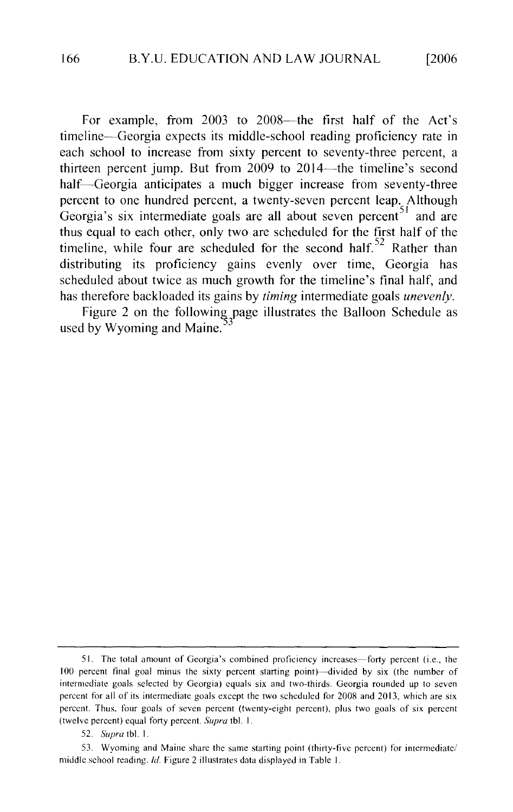For example, from  $2003$  to  $2008$ —the first half of the Act's timeline—Georgia expects its middle-school reading proficiency rate in each school to increase from sixty percent to seventy-three percent, a ach school to increase from start percent to seventy-three percent, a hirteen percent jump. But from  $2009$  to  $2014$ —the timeline's second  $t$ to equal to each other, or thus two are scheduled for the first half of the first half of the first half of the first half of the first half of the first half of the first half of the first half of the first half of th bercent to one hundred percent, a twenty-seven percent leap. Although thus equal to each other, only two are scheduled for the first half of the scheduled about twice, only two are scheduled for the time final of the time has therefore backloaded its gains by *timing* intermediate goals *unevenly.*  butting its protectivity gains eventy over three, deorgia has cheduled about twice as much  $\beta$ 

Figure 2 on the following page illustrates the Balloon Schedule as used by Wyoming and Maine.

intermediate goals selected by Georgia) equals six and two-thirds. Georgia rounded up to seven

<sup>51.</sup> The total amount of Georgia's combined proficiency increases—forty percent (i.e., the 100 percent final goal minus the sixty percent starting point)—divided by six (the number of intermediate goals selected by Georgia) equals six and two-thirds. Georgia rounded up to seven percent for all of its intermediate goals except the two scheduled for 2008 and 2013, which are six percent. Thus, four goals of seven percent (twenty-eight percent), plus two goals of six percent (twelve percent) equal forty percent. *Supra* tbl. 1.

<sup>52.</sup> Supra tbl. 1.

<sup>53.</sup> Wyoming and Maine share the same starting point (thirty-five percent) for intermediate/ middle school reading. Id. Figure 2 illustrates data displayed in Table 1.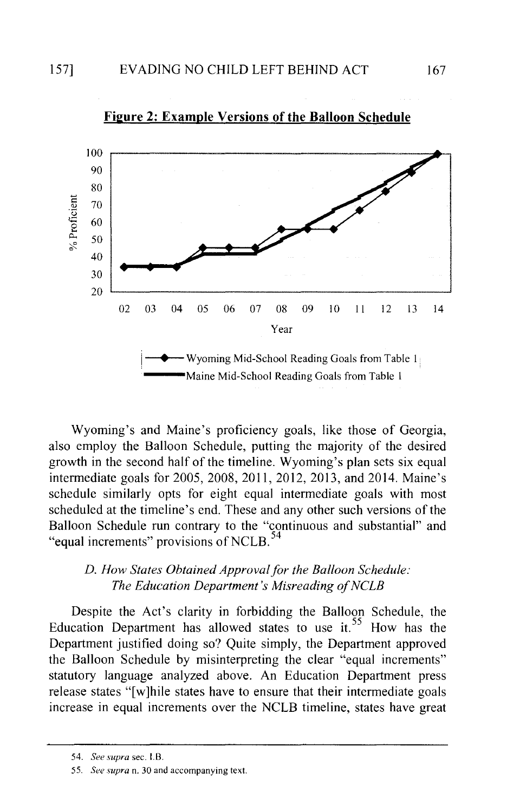



Wyoming's and Maine's proficiency goals, like those of Georgia, also employ the Balloon Schedule, putting the majority of the desired growth in the second half of the timeline. Wyoming's plan sets six equal intermediate goals for 2005, 2008, 2011, 2012, 2013, and 2014. Maine's schedule similarly opts for eight equal intermediate goals with most scheduled at the timeline's end. These and any other such versions of the Balloon Schedule run contrary to the "continuous and substantial" and "equal increments" provisions of NCLB.<sup>54</sup>

#### *D. How States Obtained Approval for the Balloon Schedule: The Education Department's Misreading of NCLB*

Despite the Act's clarity in forbidding the Balloon Schedule, the Education Department has allowed states to use it.<sup>55</sup> How has the Department justified doing so? Quite simply, the Department approved the Balloon Schedule by misinterpreting the clear "equal increments" statutory language analyzed above. An Education Department press release states "[w]hile states have to ensure that their intermediate goals increase in equal increments over the NCLB timeline, states have great

<sup>54.</sup> *See supra* sec. I. B.

<sup>55.</sup> *See supra* n. 30 and accompanying text.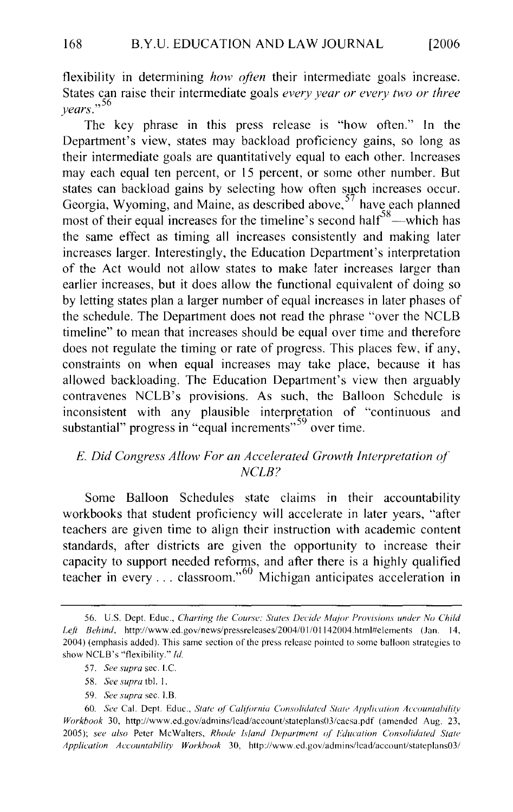States can raise their intermediate goals *every year or every two or three*  <sup>56</sup>*years."*  States can raise their intermediate goals *every year or every two or three years.*" <sup>56</sup>

The key phrase in this press release is "how often." In the  $\sum_{i=1}^{\infty}$  intermediate goals are  $\sum_{i=1}^{\infty}$  increases are  $\sum_{i=1}^{\infty}$  increases in  $\sum_{i=1}^{\infty}$ Department s view, states may backroad profitency gains, so long as states incorrectate goals are quantitatively equal to each other. Increases may each equal ten percent, or 15 percent, or some other number. But states can backload gains by selecting how often such increases occur.<br>Georgia, Wyoming, and Maine, as described above,  $57^{\circ}$  have each planned most of their equal increases for the timeline's second half<sup>58</sup>—which has the same effect as timing all increases consistently and making later  $\frac{1}{2}$  the Same effect as thinnig an increases consistently and making fater mereases larger, interestingly, the equivalent department s interpretation by the Act would not allow states to make fact: increases iarger man the schedule schedule is the phrase of the phrase of the phrase of the phrase of the phrase of  $\frac{1}{2}$ by letting states plan a larger number of equal increases in later phases of the schedule. The Department does not read the phrase "over the NCLB timeline" to mean that increases should be equal over time and therefore does not regulate the timing or rate of progress. This places few, if any, constraints on when equal increases may take place, because it has allowed backloading. The Education Department's view then arguably anowed backloading. The Education Department  $s$  view their arguably  $\text{contravenes } \text{NCLB's}$  provisions. As such, the Ball substantial" progress in "equal increments"<sup>59</sup> over time.

#### E. Did Congress Allow For an Accelerated Growth Interpretation of  $NCLB?$

Some Balloon Schedules state claims in their accountability workbooks that student proficiency will accelerate in later years, "after teachers are given time to align their instruction with academic content cachets are given this to angle their mstruction with academic content standards, after districts are given the opportunity to increase their teacher in every ... classroom."<sup>60</sup> Michigan anticipates acceleration in

*Lefi Behind,* http://www.ed.gov/news/pressreleases/2004/0 I /0 1142004.html#elemcnts (Jan. 14,

- 57. See supra sec. I.C.
- 58. See supra tbl. 1.
- 59. See supra sec. *I.B.*

<sup>56.</sup> U.S. Dept. Educ., Charting the Course: States Decide Major Provisions under No Child Left Behind, http://www.ed.gov/news/pressreleases/2004/01/01142004.html#elements (Jan. 14, 2004) (emphasis added). This same section of the press release pointed to some balloon strategies to show NCLB's "flexibility." Id.

<sup>60.</sup> See Cal. Dept. Educ., *State of California Consolidated State Application Accountability Workbook* 30, http://www.ed.gov/admins/lcad/account/stateplans03/cacsa.pdf (amended Aug. 23, 2005); see also Peter McWalters, Rhode Island Department of Education Consolidated State Application Accountability Workbook 30, http://www.ed.gov/admins/lead/account/stateplans03/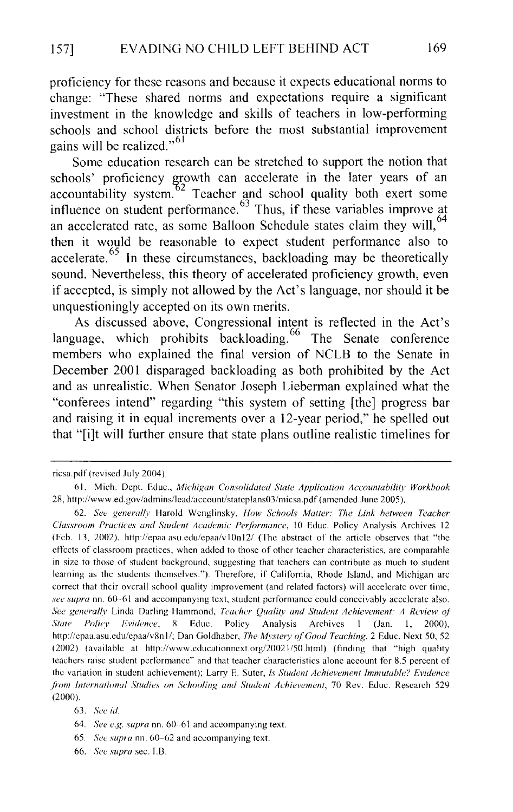proficiency for these reasons and because it expects educational norms to change: "These shared norms and expectations require a significant investment in the knowledge and skills of teachers in low-performing schools and school districts before the most substantial improvement gains will be realized."  $61$ 

Some education research can be stretched to support the notion that schools' proficiency growth can accelerate in the later years of an  $\frac{62}{2}$  Teacher and school quality both exert some influence on student performance.<sup>63</sup> Thus, if these variables improve at an accelerated rate, as some Balloon Schedule states claim they will, <sup>64</sup> then it would be reasonable to expect student performance also to accelerate.<sup>65</sup> In these circumstances, backloading may be theoretically sound. Nevertheless, this theory of accelerated proficiency growth, even if accepted, is simply not allowed by the Act's language, nor should it be unquestioningly accepted on its own merits.

As discussed above, Congressional intent is reflected in the Act's language, which prohibits backloading.<sup>66</sup> The Senate conference members who explained the final version of NCLB to the Senate in December 2001 disparaged backloading as both prohibited by the Act and as unrealistic. When Senator Joseph Lieberman explained what the "conferees intend" regarding "this system of setting [the] progress bar and raising it in equal increments over a 12-year period," he spelled out that "[i]t will further ensure that state plans outline realistic timelines for

ricsa.pdf (revised July 2004).

<sup>61.</sup> Mich. Dept. Educ., *Michigan Consolidated State Application Accountability Workbook*  28, http://www.ed.gov/admins/lead/account/stateplans03/micsa.pdf (amended June 2005).

<sup>62.</sup> See generally Harold Wenglinsky, *How Schools Matter: The Link between Teacher Classroom Practices and Student Academic Performance, 10 Educ. Policy Analysis Archives 12* (Feb. 13, 2002), http://epaa.asu.edu/epaa/v10n12/ (The abstract of the article observes that "the effects of classroom practices, when added to those of other teacher characteristics, are comparable in size to those of student background, suggesting that teachers can contribute as much to student learning as the students themselves."). Therefore, if California, Rhode Island, and Michigan arc correct that their overall school quality improvement (and related factors) will accelerate over time, *see supra* nn. 60-61 and accompanying text, student performance could conceivably accelerate also. *See genaallv* Linda Darling-Hammond, *Teacher Quality and Student Achievement: A Review of' State Policv* Eo' *vidence,* 8 Educ. Policy Analysis Archives I (Jan. I, 2000), http://cpaa.asu.edu/epaa/v8nl/; Dan Goldhaber, *The Mvsterv of' Good Teaching,* 2 Educ. Next 50,52 (2002) (available at http://www.cducationnext.org/20021 /50.html) (finding that "high quality teachers raise student performance" and that teacher characteristics alone account for 8.5 percent of the variation in student achievement); Larry E. Suter, *Is Student Achievement Immutable? Evidence from International Studies on Schooling and Student Achievement, 70 Rev. Educ. Research 529* (2000).

<sup>63.</sup> See id.

<sup>64.</sup> *See e.g. supra* nn. 60 61 and accompanying text.

<sup>65.</sup> See supra nn. 60-62 and accompanying text.

<sup>66.</sup> *See supra* sec. 1.13.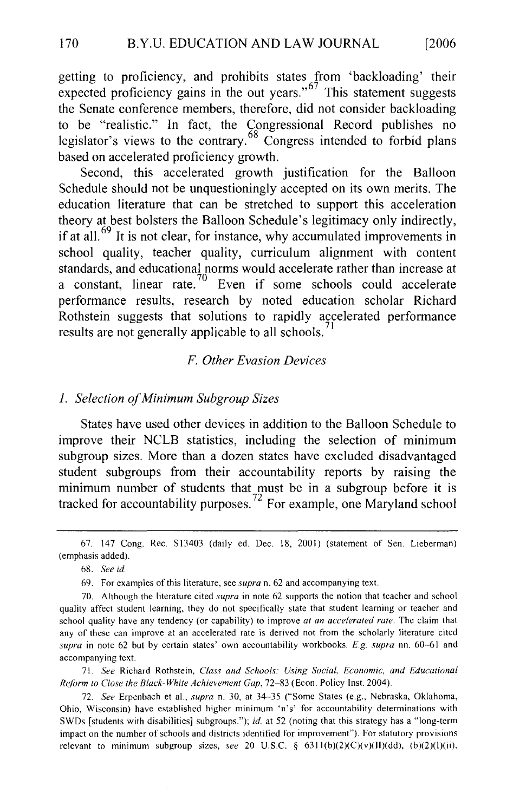getting to proficiency, and prohibits states from 'backloading' their the senate conference members of contracts members of consider  $\frac{67}{2}$  consider backloading them  $\alpha$  be the proficiency gains in the out years. This statement suggests not  $\alpha$ the Senate conference members, therefore, did not consider backloading  $\frac{6}{68}$  be realistic. In fact, the Congre rator s views to the contrary. Congress intended to forbid plans based on accelerated proficiency growth.

Second, this accelerated growth justification for the Balloon Schedule should not be unquestioningly accepted on its own merits. The education literature that can be stretched to support this acceleration theory at best bolsters the Balloon Schedule's legitimacy only indirectly, if at all.<sup>69</sup> It is not clear, for instance, why accumulated improvements in school quality, teacher quality, curriculum alignment with content standards, and educational norms would accelerate rather than increase at  $p_{\text{max}}$  results, and educational floring would accelerate rather than increase at  $\Gamma$  constant, inicial rate. Even if some schools could accelerate performance results, research by noted education scholar Richard<br>Rothstein suggests that solutions to rapidly accelerated performance results are not generally applicable to all schools.

## *1. Selection of Minimum Subgroup Sizes*

#### 1. Selection of Minimum Subgroup Sizes

 $\sigma$  is the statistic statistics, including the selection of minimum of minimum of  $\sigma$ states have used other devices in addition to the Balloon schedule to improve their NCLB statistics, including the selection of minimum subgroup sizes. More than a dozen states have excluded disadvantaged tudent subgroups from their accountability reports by raising the

(emphasis added).

71. See Richard Rothstein, Class and Schools: Using Social, Economic, and Educational Reform to Close the Black-White Achievement Gap, 72–83 (Econ. Policy Inst. 2004).

72. See Erpenbach et al., *supra* n. 30, at 34-35 ("Some States (e.g., Nebraska, Oklahoma, Ohio, Wisconsin) have established higher minimum 'n's' for accountability determinations with SWDs [students with disabilities] subgroups."); id. at 52 (noting that this strategy has a "long-term impact on the number of schools and districts identified for improvement"). For statutory provisions relevant to minimum subgroup sizes, see 20 U.S.C. § 6311(b)(2)(C)(v)(II)(dd), (b)(2)(l)(ii),

<sup>67. 147</sup> Cong. Rec. S13403 (daily ed. Dec. 18, 2001) (statement of Sen. Lieberman) (emphasis added).

<sup>70.</sup> Although the literature cited *supra* in note 62 supports the notion that teacher and school

<sup>69.</sup> For examples of this literature, see supra n. 62 and accompanying text.

<sup>70.</sup> Although the literature cited *supra* in note 62 supports the notion that teacher and school quality affect student learning, they do not specifically state that student learning or teacher and *school quality have any tendency (or capability) to improve at an accelerated rate. The claim that* any of these can improve at an accelerated rate is derived not from the scholarly literature cited supra in note 62 but by certain states' own accountability workbooks. E.g. supra nn. 60-61 and accompanying text.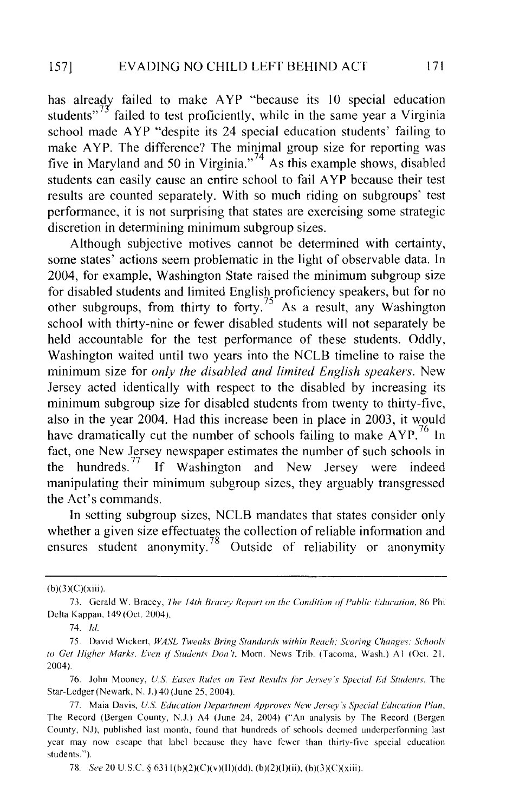has already failed to make AYP "because its 10 special education students"<sup>73</sup> failed to test proficiently, while in the same year a Virginia school made AYP "despite its 24 special education students' failing to  $f(x)$  is the margin and  $f(x)$  is the solution of the shows of  $f(x)$  and  $f(x)$  and  $f(x)$  and  $f(x)$  are  $f(x)$  and  $f(x)$  are  $f(x)$  and  $f(x)$  are  $f(x)$  and  $f(x)$  are  $f(x)$  and  $f(x)$  are  $f(x)$  and  $f(x)$  are  $f(x)$  and  $f(x)$  are five in Maryland and 50 in Virginia."<sup> $4$ </sup> As this example shows, disable students can easily cause an entire school to fail AYP because their test results are counted separately. With so much riding on subgroups' test performance, it is not surprising that states are exercising some strategic discretion in determining minimum subgroup sizes.

Although subjective motives cannot be determined with certainty, some states' actions seem problematic in the light of observable data. In 2004, for example, Washington State raised the minimum subgroup size for disabled students and limited English proficiency speakers, but for no other subgroups, from thirty to forty.<sup>75</sup> As a result, any Washington school with thirty-nine or fewer disabled students will not separately be held accountable for the test performance of these students. Oddly, Washington waited until two years into the NCLB timeline to raise the minimum size for *only the disabled and limited English speakers*. New Jersey acted identically with respect to the disabled by increasing its minimum subgroup size for disabled students from twenty to thirty-five, also in the year 2004. Had this increase been in place in 2003, it would have dramatically cut the number of schools failing to make  $AYP<sup>76</sup>$  In fact, one New Jersey newspaper estimates the number of such schools in the hundreds.<sup> $77$ </sup> If Washington and New Jersey were indeed manipulating their minimum subgroup sizes, they arguably transgressed the Act's commands.

In setting subgroup sizes, NCLB mandates that states consider only whether a given size effectuates the collection of reliable information and ensures student anonymity.<sup>78</sup> Outside of reliability or anonymity

73. Gerald W. Bracey, *The 14th Bracev Report on the Condition ofPublic L'ducation,* 86 Phi

<sup>(</sup>b)(3)(C)(xiii).<br>
73. Gerald W. Bracey, *The 14th Bracey Report on the Condition of Public Education*, 86 Phi Delta Kappan, 149 (Oct. 2004). 75. David Wickert, *WASL Tweaks Bring Standards within Reach: Scoring Changes: Schools* 

<sup>74.</sup> Id.<br>75. David Wickert, WASL Tweaks Bring Standards within Reach; Scoring Changes: Schools  $\overline{a}$ 76. John Mooney, *US L'ases Rules on Test Results ./iJr Jersey's Special Fd Students,* The 2004).<br>76. John Mooney, U.S. Eases Rules on Test Results for Jersey's Special Ed Students, The

<sup>5</sup>tar-Ledger (Newark, N. J.) 40 (June 25, 2004).  $T_{\text{max}}$  (Record (Bergen County, N.J.)  $\mathcal{L}_{\text{max}}$  (An analysis by The Record (Bergen) ( $\mathcal{L}_{\text{max}}$  (Bergen) (Bergen) (Bergen County,  $\mathcal{L}_{\text{max}}$  (Bergen) (Bergen) (Bergen) (Bergen) (Bergen) (Bergen) (Bergen) (Berg

The main Davis, O.B. Equication Department Approves were gersey supectational that has  $\Gamma$ The Record (Bergen County, N.J.) A4 (June 24, 2004) ("An analysis by The Record (Bergen County, NJ), published last month, found that hundreds of schools deemed underperforming last year may now escape that label because they have fewer than thirty-five special education students.").

<sup>78.</sup> See 20 U.S.C. § 6311(b)(2)(C)(v)(II)(dd), (b)(2)(I)(ii), (b)(3)(C)(xiii).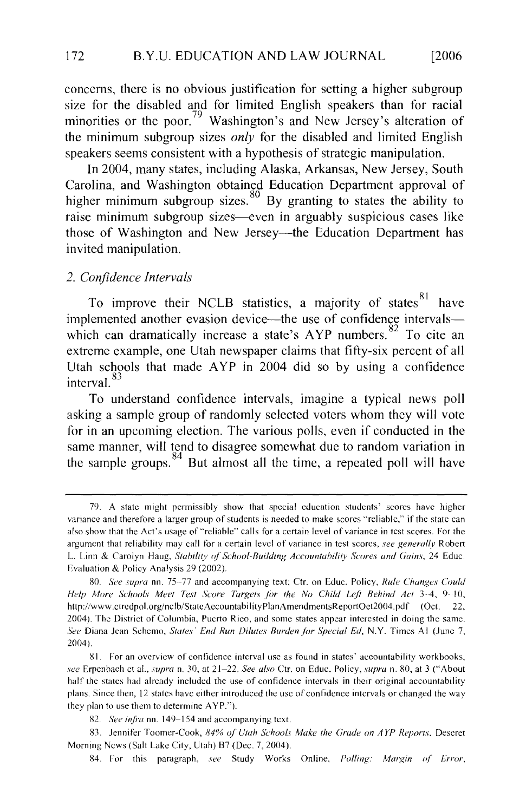minorities or the poor. 79 Washington's and New Jersey's alteration of oncerns, there is no obvious justification for setting a migher subgroup  $\frac{1}{2}$  speakers than 10 minuted engines between that is speakers of strategic manipulation. Intes of the pool. Washington's and New Jersey's anciation of the minimum subgroup sizes *only* for the disabled and limited English speakers seems consistent with a hypothesis of strategic manipulation.

In 2004, many states, including Alaska, Arkansas, New Jersey, South Carolina, and Washington obtained Education Department approval of higher minimum subgroup sizes.  $80\,$  By granting to states the ability to raise minimum subgroup sizes—even in arguably suspicious cases like those of Washington and New Jersey—the Education Department has invited manipulation.  $\alpha$  mampuration,

#### 2. Confidence Intervals

To improve their NCLB statistics, a majority of states<sup>81</sup> have Fo improve their NCLB statistics, a majority of states have which can dramatically increase a state's  $APP$  numbers.<sup>82</sup> To cite an a confidence 0 1 83 meta. The example, one chan newspaper claims that imagine percent of an  $\frac{1}{2}$  schools that made  $A(Y|I)$  and  $S(Y|I)$  and  $S(Y|I)$  using a commitment for in an upcoming election. The various policies policies policies policies policies policies and  $\alpha$ 

some manufacture manner manner, will be a typical news point sking a sample group of randomly selected voters whom they will vote same manner, will tend to disagree somewhat due to random variation in the sample groups.<sup>84</sup> But almost all the time, a repeated poll will have

also show that the Act's usage of"reliable" calls for a certain level of variance in test scores. For the

<sup>79.</sup> A state might permissibly show that special education students' scores have higher variance and therefore a larger group of students is needed to make scores "reliable," if the state can also show that the Act's usage of "reliable" calls for a certain level of variance in test scores. For the argument that reliability may call for a certain level of variance in test scores, *see generally* Robert L. Linn & Carolyn Haug, Stability of School-Building Accountability Scores and Gains, 24 Educ. Evaluation & Policy Analysis 29 (2002).

<sup>80.</sup> See supra nn. 75–77 and accompanying text: Ctr. on Educ. Policy, Rule Changes Could *Help More Schools Meet Test Score Targets for the No Child Left Behind Act 3-4, 9-10,* http://www.ctredpol.org/nclb/StateAccountabilityPlanAmendmentsReportOct2004.pdf (Oct. 22. 2004). The District of Columbia, Puerto Rico, and some states appear interested in doing the same. *see* Erpenbach ct aL, *supra* n. 30, at 21-22. *See also* Ctr. on Educ. Policy, *supra* n. 80, at 3 ("About  $\frac{1}{10041}$  the state is confidence included the use of confidence in the use  $\frac{1}{10041}$ plans. Since the theorem, 12004).<br>Since the usc of confidence interval use as found in states' accountability workbooks,

see Erpenbach et al., supra n. 30, at 21-22. See also Ctr. on Educ. Policy, supra n. 80, at 3 ("About half the states had already included the use of confidence intervals in their original accountability plans. Since then, 12 states have either introduced the use of confidence intervals or changed the way they plan to use them to determine  $AYP$ .").

<sup>82.</sup> See infra nn. 149-154 and accompanying text.

<sup>83.</sup> Jennifer Toomer-Cook, 84% of Utah Schools Make the Grade on AYP Reports, Descret Morning News (Salt Lake City, Utah) B7 (Dec. 7, 2004).

<sup>84.</sup> For this paragraph, see Study Works Online, Polling: Margin of Error,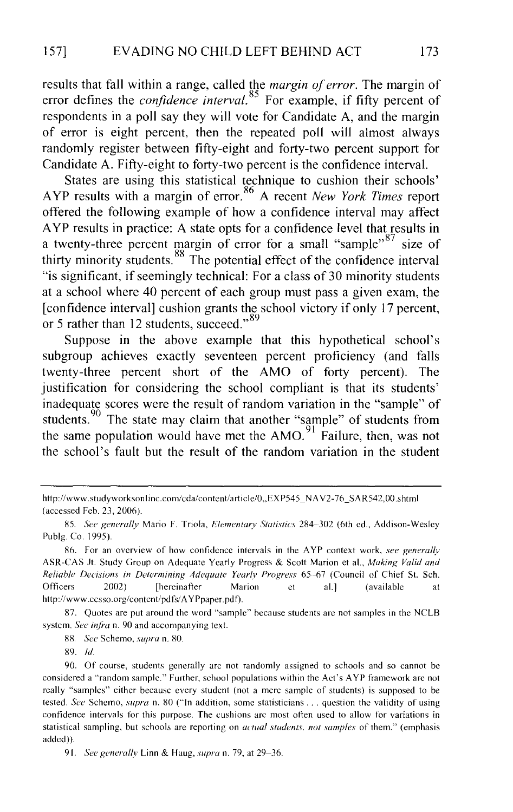results that fall within a range, called the *margin of error.* The margin of error defines the *confidence interval*.<sup>85</sup> For example, if fifty percent of respondents in a poll say they will vote for Candidate A, and the margin of error is eight percent, then the repeated poll will almost always randomly register between fifty-eight and forty-two percent support for Candidate A. Fifty-eight to forty-two percent is the confidence interval.

States are using this statistical technique to cushion their schools' A YP results with a margin of error. 86 A recent *New York Times* report offered the following example of how a confidence interval may affect A YP results in practice: A state opts for a confidence level that results in a twenty-three percent margin of error for a small "sample"  $87$  size of thirty minority students.  $88\text{ The potential effect of the confidence interval}$ "is significant, if seemingly technical: For a class of 30 minority students at a school where 40 percent of each group must pass a given exam, the [confidence interval] cushion grants the school victory if only 17 percent, or 5 rather than 12 students, succeed."<sup>89</sup>

Suppose in the above example that this hypothetical school's subgroup achieves exactly seventeen percent proficiency (and fails twenty-three percent short of the AMO of forty percent). The justification for considering the school compliant is that its students' inadequate scores were the result of random variation in the "sample" of students.  $90$  The state may claim that another "sample" of students from the same population would have met the  $AMO<sup>91</sup>$  Failure, then, was not the school's fault but the result of the random variation in the student

87. Quotes are put around the word "sample" because students are not samples in the NCLB system. *See infra* n. 90 and accompanying text.

88. *See* Schcmo, *supra* n. 80.

89. *!d.* 

91. *See generally* Linn & Haug, *supra* n. 79, at 29-36.

http://www.studyworksonline.com/cda/content/article/0, EXP545\_NAV2-76\_SAR542,00.shtml (accessed Feb. 23, 2006).

<sup>85.</sup> See generally Mario F. Triola, *Elementary Statistics* 284-302 (6th ed., Addison-Wesley Publg. Co. 1995).

<sup>86.</sup> For an overview of how confidence intervals in the A YP context work, *see generally*  ASR-CAS Jt. Study Group on Adequate Yearly Progress & Scott Marion et al., *Making Valid and Reliable Decisions in Determining Adequate Yearlv Progress* 65-67 (Council of Chief St. Sch. Officers 2002) [hercinatler Marion et al.] (available at http://www.ccsso.org/content/pdfs/AYPpaper.pdf).

<sup>90.</sup> Of course, students generally arc not randomly assigned to schools and so cannot be considered a "random sample." Further. school populations within the Act's A YP framework are not really "samples" either because every student (not a mere sample of students) is supposed to be tested. *See* Schemo, *supra* n. 80 ("In addition, some statisticians ... question the validity of using confidence intervals for this purpose. The cushions arc most otlen used to allow for variations in statistical sampling, but schools are reporting on *actual students. not samples* of them." (emphasis added)).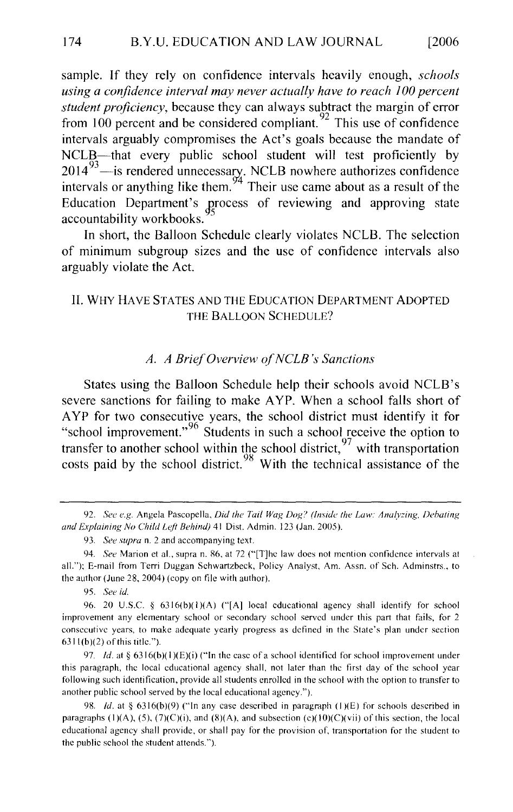*using a confidence interval may never actually have to reach I 00 percent*  sample. If they rely on confidence intervals neavily enough, *schools* using a confidence interval may never actually have to reach 100 percent<br>student proficiency, because they can always subtract the margin of error student proficiency, because they can always subtract the margin of error  $H_{\text{C}}$  and the considered compilant. This use of confidence intervals arguably compromises the Act's goals because the mandate of NCLB—that every public school student will test proficiently by  $\frac{2014}{100}$  — is rendered unnecessary. NULB nowhere all notizes contidence intervals or anything like the Education Department's process of reviewing and approving state accountability workbooks. of minimum subgroup sizes and the use of confidence intervals also

arguard in short, the Barloon arguably violate the Act.

#### II. WHY HAVE STATES AND THE EDUCATION DEPARTMENT ADOPTED THE BALLOON SCHEDULE?

#### A. A Brief Overview of NCLB's Sanctions

severe sanctions for failing to make A YP. When a school falls short of States using the Balloon Schedule help their schools avoid include s severe sanctions for failing to make AYP. When a school falls short of AYP for two consecutive years, the school district must identify it for "school improvement."<sup>96</sup> Students in such a school receive the option to transfer to another school within the school district,<sup>97</sup> with transportation costs paid by the school district.<sup>98</sup> With the technical assistance

*and /Lrplaining No Child Leji Behind)* 41 Dist. Admin. 123 (Jan. 2005).

95. See id.

<sup>92.</sup> See e.g. Angela Pascopella, Did the Tail Wag Dog? (Inside the Law: Analyzing, Debating and Explaining No Child Left Behind) 41 Dist. Admin. 123 (Jan. 2005).

<sup>93.</sup> See supra n. 2 and accompanying text.

<sup>94.</sup> See Marion et al., supra n. 86, at 72 ("[T]he law does not mention confidence intervals at all."); E-mail from Terri Duggan Schwartzbeck, Policy Analyst, Am. Assn. of Sch. Adminstrs., to the author (June 28, 2004) (copy on file with author).

<sup>96. 20</sup> U.S.C. § 6316(b)(1)(A) ("[A] local educational agency shall identify for school improvement any elementary school or secondary school served under this part that fails, for 2 consecutive years, to make adequate yearly progress as defined in the State's plan under section  $6311(b)(2)$  of this title.").

<sup>97.</sup> *Id.* at § 6316(b)(1)(E)(i) ("In the case of a school identified for school improvement under this paragraph, the local educational agency shall, not later than the first day of the school year following such identification, provide all students enrolled in the school with the option to transfer to another public school served by the local educational agency.").

<sup>98.</sup> *Id.* at § 6316(b)(9) ("In any case described in paragraph (1)(E) for schools described in paragraphs (1)(A), (5), (7)(C)(i), and (8)(A), and subsection (c)(10)(C)(vii) of this section, the local educational agency shall provide, or shall pay for the provision of, transportation for the student to the public school the student attends.").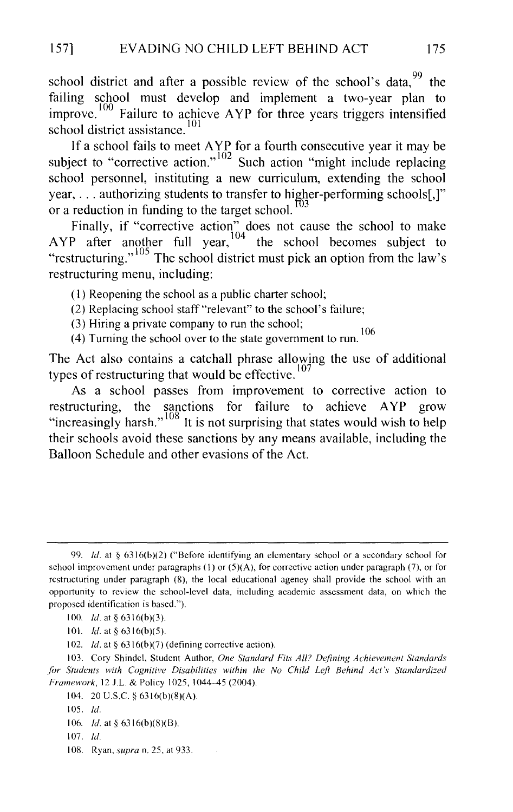school district and after a possible review of the school's data.  $99$  the failing school must develop and implement a two-year plan to improve.<sup>100</sup> Failure to achieve AYP for three years triggers intensified school district assistance.<sup>101</sup>

If a school fails to meet  $AYR$  for a fourth consecutive year it may be subject to "corrective action."  $102$  Such action "might include replacing school personnel, instituting a new curriculum, extending the school year,  $\ldots$  authorizing students to transfer to higher-performing schools[,]" or a reduction in funding to the target school.  $\frac{100}{3}$ 

Finally, if "corrective action" does not cause the school to make AYP after another full year,  $104$  the school becomes subject to "restructuring."<sup>105</sup> The school district must pick an option from the law's restructuring menu, including:

(I) Reopening the school as a public charter school;

(2) Replacing school staff"relevant" to the school's failure;

(3) Hiring a private company to run the school;

(4) Turning the school over to the state government to run.  $106$ 

The Act also contains a catchall phrase allowing the use of additional types of restructuring that would be effective.  $107$ 

As a school passes from improvement to corrective action to restructuring, the sanctions for failure to achieve A YP grow "increasingly harsh."<sup>108</sup> It is not surprising that states would wish to help their schools avoid these sanctions by any means available, including the Balloon Schedule and other evasions of the Act.

I 08. Ryan, *supra* n. 25, at 933.

<sup>99.</sup> *!d.* at § 6316(b)(2) ("Before identifying an elementary school or a secondary school for school improvement under paragraphs  $(1)$  or  $(5)(A)$ , for corrective action under paragraph (7), or for restructuring under paragraph (8), the local educational agency shall provide the school with an opportunity to review the school-level data, including academic assessment data, on which the proposed identification is based.").

<sup>100.</sup> *Id.* at § 6316(b)(3).

<sup>101.</sup> *!d.* at§ 6316(b)(5).

<sup>102.</sup> *Id.* at § 6316(b)(7) (defining corrective action).

I 03. Cory Shindel, Student Author, *One Standard Fits Alf? Defining Achievement Standards*  for Students with Cognitive Disabilities within the No Child Left Behind Act's Standardized *Framework, 12 J.L. & Policy 1025, 1044-45 (2004).* 

<sup>104. 20</sup> U.S.C. § 6316(b)(8)(A).

<sup>105.</sup> *!d.* 

<sup>106.</sup> *Id.* at § 6316(b)(8)(B).

<sup>107.</sup> *!d.*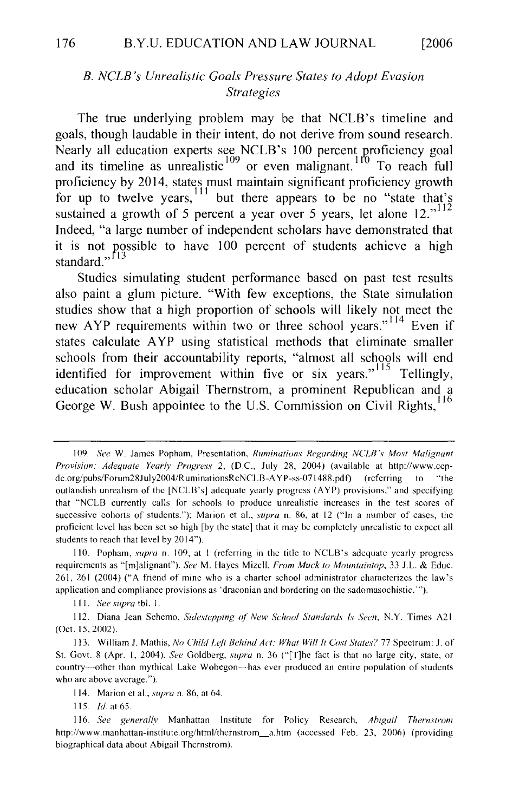#### **B. NCLB's Unrealistic Goals Pressure States to Adopt Evasion** Strategies

The true underlying problem may be that NCLB's timeline and  $\frac{1}{2}$  and the underlying problem may be that  $NCDB$ 's timemic and oals, though laudable in their intent, do not derive from sound research. Nearly all education experts see NCLB's 100 percent proficiency goal and its timeline as unrealistic  $109$  or even malignant. To reach full proficiency by 2014, states must maintain significant proficiency growth for up to twelve years, <sup>111</sup> but there appears to be no "state that's In the two vertext of  $\epsilon$  is a large number of  $\epsilon$  in the state demonstrated that seems that  $\frac{1}{2}$  $\mu$ <sup>1</sup> is not a grown of  $J$  percent of year over  $J$  years, i.e. and  $\mu$ . Indeed, "a large number of independent scholars have demonstrated that it is not possible to have 100 percent of students achieve a high standard."<sup>[13</sup>  $\alpha$  paint a glum picture. The State simulations, the State simulations, the State simulations, the State simulations, the State simulations, the State simulations, the State simulations, the State simulations, the State

studies simulating student performance based on past test results also paint a glum picture. "With few exceptions, the State simulation studies show that a high proportion of schools will likely not meet the new AYP requirements within two or three school years."<sup>114</sup> Even if  $\frac{1}{2}$  is the  $\frac{1}{2}$  report accountability reports within two of the school years. Even if tates calculate AYP using statistical methods that eliminate smaller enous nominent accountabinty reports, annost an schools will clim dentified for improvement within five or six years.<sup>"The U</sup>lingly, George W. Bush appointee to the U.S. Commission on Civil Rights,

*Provision: Adequate Year(v Progress* 2, (D.C., July 28, 2004) (available at http://www.cep-

<sup>109.</sup> See W. James Popham, Presentation, Ruminations Regarding NCLB's Most Malignant Provision: Adequate Yearly Progress 2, (D.C., July 28, 2004) (available at http://www.ccpdc.org/pubs/Forum28July2004/RuminationsRcNCLB-AYP-ss-071488.pdf) (referring to "the outlandish unrealism of the [NCLB's] adequate yearly progress (AYP) provisions," and specifying that "NCLB currently calls for schools to produce unrealistic increases in the test scores of successive cohorts of students."); Marion et al., supra n. 86, at 12 ("In a number of cases, the proficient level has been set so high [by the state] that it may be completely unrealistic to expect all students to reach that level by 2014").

<sup>110.</sup> Popham, supra n. 109, at 1 (referring in the title to NCLB's adequate yearly progress requirements as "[m]alignant"). See M. Hayes Mizcll, From Muck to Mountaintop, 33 J.L. & Educ. 261, 261 (2004) ("A friend of mine who is a charter school administrator characterizes the law's application and compliance provisions as 'draconian and bordering on the sadomasochistic."").

<sup>111.</sup> See supra tbl. 1.

<sup>112.</sup> Diana Jean Sehemo, *Sidestepping of New School Standards Is Seen*, N.Y. Times A21 (Oct. 15, 2002).

<sup>113.</sup> William J. Mathis, No Child Left Behind Act: What Will It Cost States? 77 Spectrum: J. of St. Govt. 8 (Apr. 1, 2004). See Goldberg, supra n. 36 ("[T]he fact is that no large city, state, or country---other than mythical Lake Wobegon---has ever produced an entire population of students who are above average.").

<sup>114.</sup> Marion et al., *supra* n. 86, at 64.

<sup>115.</sup>  $Id.$  at 65.

<sup>116.</sup> See generally Manhattan Institute for Policy Research, Abigail Thernstrom http://www.manhattan-institute.org/html/thernstrom\_a.htm (accessed Feb. 23, 2006) (providing biographical data about Abigail Thernstrom).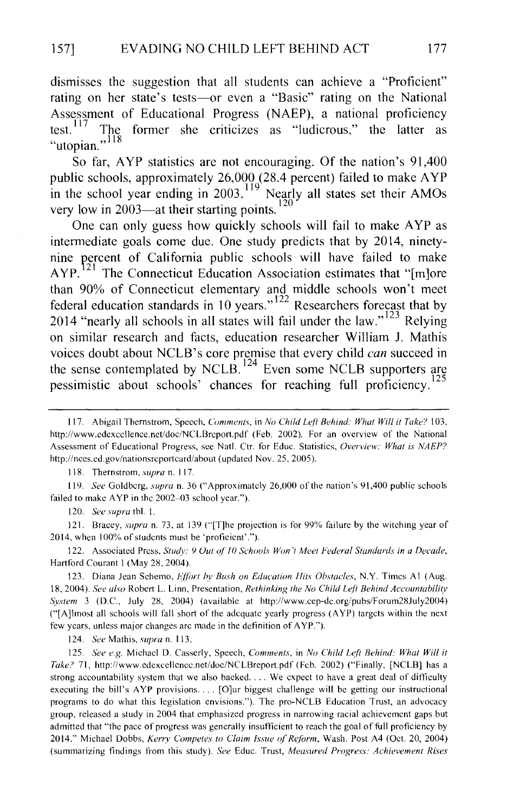dismisses the suggestion that all students can achieve a "Proficient" rating on her state's tests-or even a "Basic" rating on the National Assessment of Educational Progress (NAEP), a national proficiency test. <sup>117</sup> The former she criticizes as "ludicrous," the latter as "utopian."<sup>118</sup>

So far, AYP statistics are not encouraging. Of the nation's 91,400 public schools, approximately 26,000 (28.4 percent) failed to make A YP in the school year ending in 2003.<sup>119</sup> Nearly all states set their AMOs  $\frac{120}{20}$  very low in 2003—at their starting points.<sup>120</sup>

One can only guess how quickly schools will fail to make AYP as intermediate goals come due. One study predicts that by 2014, ninetynine percent of California public schools will have failed to make  $AYP<sup>121</sup>$  The Connecticut Education Association estimates that "[m]ore than 90% of Connecticut elementary and middle schools won't meet federal education standards in 10 years." $122$  Researchers forecast that by 2014 "nearly all schools in all states will fail under the law."<sup>123</sup> Relying on similar research and facts, education researcher William J. Mathis voices doubt about NCLB's core premise that every child *can* succeed in the sense contemplated by NCLB.<sup>124</sup> Even some NCLB supporters are pessimistic about schools' chances for reaching full proficiency.

118. Thernstrom, *supra* n. 117.

119. *See* Goldberg, *supra* n. 36 ("Approximately 26,000 of the nation's 91,400 public schools failed to make AYP in the 2002-03 school year.").

120. *See supra* tbl. I.

121. Bracey, *supra* n. 73, at 139 ("[T]he projection is for 99% failure by the witching year of 2014, when 100% of students must be 'proficient'.").

122. Associated Press, *Study: 9 Out of 10 Schools Won't Meet Federal Standards in a Decade*, Hartford Courant I (May 28, 2004).

123. Diana Jean Schemo, *Effort by Bush on Education Hits Obstacles*, N.Y. Times A1 (Aug. 18, 2004). *See also* Robert L. Linn, Presentation, *Rethinking the No Child Leji Behind Accountability s:vstem* 3 (D.C., July 28, 2004) (available at http://www.cep-dc.org/pubs/Forum28July2004) ("[A]lmost all schools will fall short of the adequate yearly progress (A YP) targets within the next few years, unless major changes are made in the definition of A YP.").

124. *See* Mathis, *supra* n. I 13.

125. *See e.g.* Michael D. Casserly, Speech, *Comments,* in *No Child Leji Behind: What Will it Take?* 71, http://www.edexcellencc.net/doc/NCLBreport.pdf (Feb. 2002) ("Finally, [NCLB] has a strong accountability system that we also backed.... We expect to have a great deal of difficulty executing the bill's A YP provisions. . . [O]ur biggest challenge will be getting our instructional programs to do what this legislation envisions."). The pro-NCLB Education Trust, an advocacy group, released a study in 2004 that emphasized progress in narrowing racial achievement gaps but admitted that "the pace of progress was generally insufficient to reach the goal of full proficiency by 2014." Michael Dobbs, *Kerry Competes to Claim Issue of Reform*, Wash. Post A4 (Oct. 20, 2004) (summarizing findings from this study). *See* Educ. Trust, *Measured Progress: Achievement Rises* 

<sup>117.</sup> Abigail Thernstrom, Speech, *Comments,* in *No Child Leji Behind: What Will it Take?* 103, http://www.edexcellence.net/doc/NCLBreport.pdf (Feb. 2002). For an overview of the National Assessment of Educational Progress, see Nat!. Ctr. for Educ. Statistics, *Overview: What is NAEP?*  http://nces.ed.gov/nationsreportcard/about (updated Nov. 25, 2005).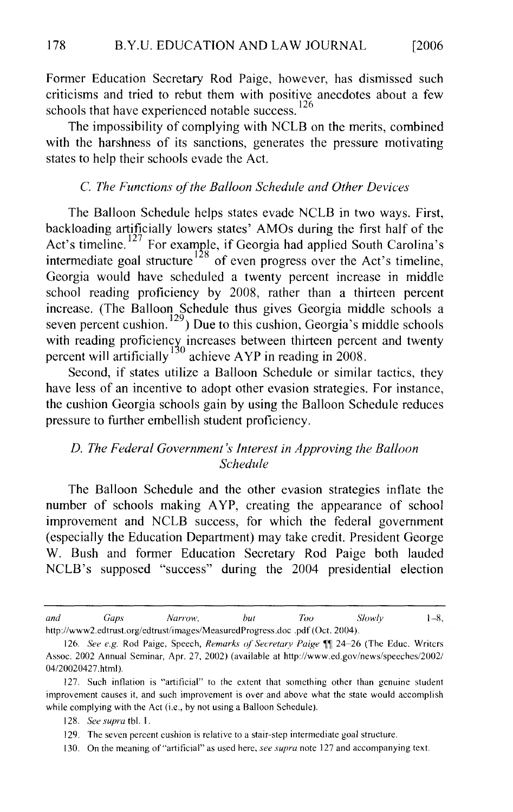criticisms and tried to rebut them with positive anecdotes about a few rmer Education Secretary Rod Paige, however, criticisms and tried to rebut them with positive anecdotes about a few schools that have experienced notable success.  $^{126}$ 

The impossibility of complying with NCLB on the merits, combined with the harshness of its sanctions, generates the pressure motivating states to help their schools evade the Act.

#### C. The Functions of the Balloon Schedule and Other Devices

backloading artificially lowers states' AMOs during the first half of the The Balloon Schedule helps states evade NCLB in two ways. First, ckloading artificially lowers states' AMOs during the first half of the  $\frac{1}{12}$  corresponding to the twenty percent increase in the twenty percent in middle in the twenty percent in  $\frac{1}{28}$  corresponding to the twenty schedule in the twenty schedule in the twenty schedule in the twenty ermediate goal structure of even progress over the Act s timeline, Georgia would have scheduled a twenty percent increase in middle hool reading proficiency by 2008, rather than a thirteen percent rease. The Balloon Schedule thus gives Georgia middle schools and the percent and twenty ven percent cushion.<sup>129</sup>) Due to this cushion, Georgia's mid eading proficiency increases between thirteen percent and twenty reent will artificially achieve  $APP$  in reading in 2008.

Second, if states utilize a Balloon Schedule or similar tactics, they have less of an incentive to adopt other evasion strategies. For instance, the cushion Georgia schools gain by using the Balloon Schedule reduces pressure to further embellish student proficiency.

# Schedule

number of schools making A YP, creating the appearance of school I'm balloon Schedule and the other evasion strategies inflate the number of schools making AYP, creating the appearance of school improvement and NCLB success, for which the federal government (especially the Education Department) may take credit. President George W. Bush and former Education Secretary Rod Paige both lauded NCLB's supposed "success" during the 2004 presidential election

http:/ /www2 .edtrust.org/edtrust/images/MeasurcdProgress.doc . pdf (Oct. 2004).

<sup>126.</sup> **See E.g.** *Slowly* **Capital Paige, Secretary Paige, Slowly** 1-8, and http://www2.edtrust.org/edtrust/images/MeasuredProgress.doc .pdf (Oct. 2004).

<sup>126.</sup> See e.g. Rod Paige, Speech, Remarks of Secretary Paige  $\P$  24-26 (The Educ. Writers Assoc. 2002 Annual Seminar, Apr. 27, 2002) (available at http://www.ed.gov/news/speeches/2002/ 04/20020427.html).

<sup>127.</sup> Such inflation is "artificial" to the extent that something other than genuine student improvement causes it, and such improvement is over and above what the state would accomplish while complying with the Act (i.e., by not using a Balloon Schedule).

<sup>128.</sup> See supra tbl. 1.

<sup>129.</sup> The seven percent cushion is relative to a stair-step intermediate goal structure.

<sup>130.</sup> On the meaning of "artificial" as used here, see supra note 127 and accompanying text.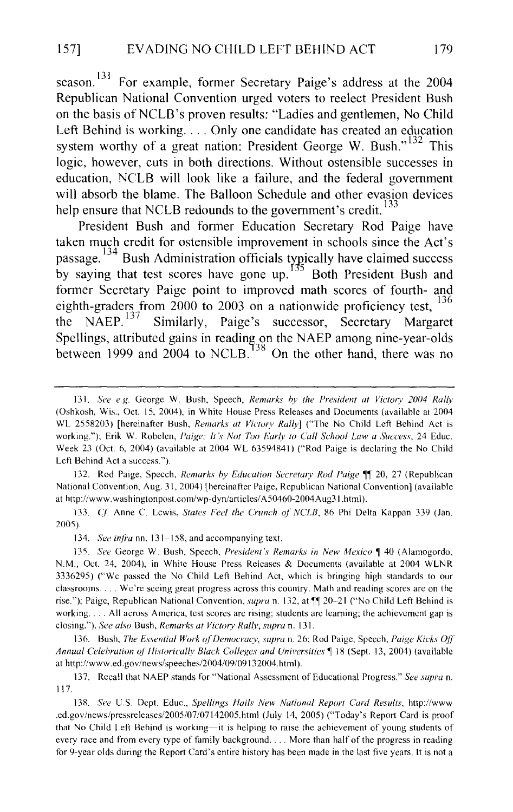season.<sup>131</sup> For example, former Secretary Paige's address at the 2004 Republican National Convention urged voters to reelect President Bush on the basis of NCLB's proven results: "Ladies and gentlemen, No Child Left Behind is working.... Only one candidate has created an education system worthy of a great nation: President George W. Bush."<sup>132</sup> This logic, however, cuts in both directions. Without ostensible successes in education, NCLB will look like a failure, and the federal government will absorb the blame. The Balloon Schedule and other evasion devices help ensure that NCLB redounds to the government's credit.<sup>133</sup>

President Bush and former Education Secretary Rod Paige have taken much credit for ostensible improvement in schools since the Act's passage.<sup>134</sup> Bush Administration officials typically have claimed success by saying that test scores have gone up. 5 Both President Bush and former Secretary Paige point to improved math scores of fourth- and eighth-graders from 2000 to 2003 on a nationwide proficiency test,  $^{136}$ <br>the NAEP.<sup>137</sup> Similarly, Paige's successor. Secretary Margaret Similarly, Paige's successor, Secretary Margaret Spellings, attributed gains in reading on the NAEP among nine-year-olds between 1999 and 2004 to NCLB.  $138$  On the other hand, there was no

132. Rod Paige, Speech, *Remarks by Education Secretary Rod Paige* <sup>11</sup> 20, 27 (Republican National Convention, Aug. 31, 2004) [hereinafter Paige, Republican National Convention] (available at http://www. washingtonpost.com/wp-dyn/articles/ A50460-2004Aug31.html).

133. C{: Anne C. Lewis, *States Feel the Crunch of' NCLB,* 86 Phi Delta Kappan 339 (Jan. 2005).

134. *See infra* nn. 131-158, and accompanying text.

135. *See* George W. Bush, Speech, *President's Remarks in New Mexico* 140 (Alamogordo, N.M., Oct. 24, 2004), in White House Press Releases & Documents (available at 2004 WLNR 3336295) ("We passed the No Child Left Behind Act, which is bringing high standards to our classrooms .... We're seeing great progress across this country. Math and reading scores are on the rise."); Paige, Republican National Convention, *supra* n. 132, at  $\P$  20-21 ("No Child Left Behind is working .... All across America, test scores are rising; students arc learning; the achievement gap is closing."). *See also* Bush, *Remark\· at Victory Rallv, supra* n. 131.

136. Bush, *The Essential Work ofDemocracv, supra* n. 26; Rod Paige, Speech, *Paige Kicks* OfT *Annual Celebration oj'Historically Black Colleges and* Universities~ 18 (Sept. 13, 2004) (available at http://www.ed.gov/news/speeches/2004/09/09132004.html).

137. Recall that NAEP stands for "National Assessment of Educational Progress." *See supra* n. 117.

138. *See* U.S. Dept. Educ., *Spellings Hails New National Report Card Results,* http://www .ed.gov/news/pressreleases/2005/07/07142005.html (July 14, 2005) ("Today's Report Card is proof that No Child Left Behind is working-it is helping to raise the achievement of young students of every race and from every type of family background. . . More than half of the progress in reading for 9-year olds during the Report Card's entire history has been made in the last five years. It is not a

<sup>131.</sup> *See e.g.* George W. Bush, Speech, *Remarks by the President at Victory 2004 Rally* (Oshkosh, Wis., Oct. 15, 2004), in White House Press Releases and Documents (available at 2004 WL 2558203) [hereinafter Bush, *Remarks at Victory Rally*] ("The No Child Left Behind Act is working."); Erik W. Robelen, *Paige: It's Not Too Early to Call School Law a Success*, 24 Educ. Week 23 (Oct. 6, 2004) (available at 2004 WL 63594841) ("Rod Paige is declaring the No Child Left Behind Act a success.").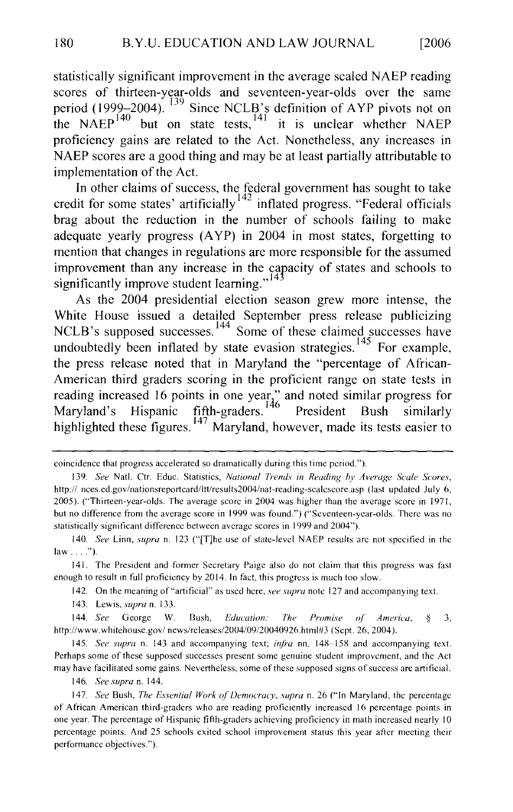scores of thirteen-year-o1ds and seventeen-year-olds over the same tatistically significant improvement in the average scaled NAEP reading scores of thirteen-year-olds and seventeen-year-olds over the same period (1999–2004).  $139$  Since NCLB's definition of AYP pivots not on the NAEP<sup> $140$ </sup> but on state tests,  $141$  it is unclear whether NAEP proficiency gains are related to the Act. Nonetheless, any increases in NAEP scores are a good thing and may be at least partially attributable to implementation of the Act. mplementation of the Act.

In other claims of success, the federal government has sought to take redit for some states artificially inflated progress. Federal officials brag about the reduction in the number of schools failing to make adequate yearly progress (AYP) in 2004 in most states, forgetting to mention that changes in regulations are more responsible for the assumed improvement than any increase in the capacity of states and schools to significantly improve student learning."<sup>143</sup>

As the 2004 presidential election season grew more intense, the White House issued a detailed September press release publicizing NCLB's supposed successes. Some of these claimed successes have  $m$  and  $m$  been in trated by state evasion strategies. For example, the press release noted that in Maryland the "percentage of African-American third graders scoring in the proficient range on state tests in reading increased 16 points in one year," and noted similar progress for Maryland's Hispanic fifth-graders. President Bush similarly highlighted these figures.<sup>147</sup> Maryland, however, made its tests easier to

139. *See* Nat!. Ctr. Educ. Statistics, *National Trends in Reading hy Average Scale Scores,* 

142. On the meaning of "artificial" as used here, *see supra* note 127 and accompanying text.

146. See supra n. 144.

coincidence that progress accelerated so dramatically during this time period.").

<sup>139.</sup> See Natl. Ctr. Educ. Statistics, National Trends in Reading by Average Scale Scores, http:// nces.ed.gov/nationsreportcard/ltt/results2004/nat-reading-scalescore.asp (last updated July 6, 2005). ("Thirteen-year-olds. The average score in 2004 was higher than the average score in 1971, but no difference from the average score in 1999 was found.") ("Seventeen-year-olds. There was no statistically significant difference between average scores in 1999 and 2004").

<sup>140.</sup> See Linn, supra n. 123 ("[T]he use of state-level NAEP results are not specified in the law  $\dots$  ").

<sup>141.</sup> The President and former Secretary Paige also do not claim that this progress was fast enough to result in full proficiency by 2014. In fact, this progress is much too slow.

<sup>143.</sup> Lewis, supra n. 133.

<sup>145.</sup> *See* George W. Bush. *Education: The Promise of America.* 8 3. http://www.whitehouse.gov/news/releases/2004/09/20040926.html#3 (Sept. 26, 2004).

<sup>145.</sup> See supra n. 143 and accompanying text; infra nn. 148-158 and accompanying text. Perhaps some of these supposed successes present some genuine student improvement, and the Act may have facilitated some gains. Nevertheless, some of these supposed signs of success are artificial.

<sup>147.</sup> See Bush, The Essential Work of Democracy, supra n. 26 ("In Maryland, the percentage of African American third-graders who are reading proficiently increased 16 percentage points in one year. The percentage of Hispanic fifth-graders achieving proficiency in math increased nearly 10 percentage points. And 25 schools exited school improvement status this year after meeting their performance objectives.").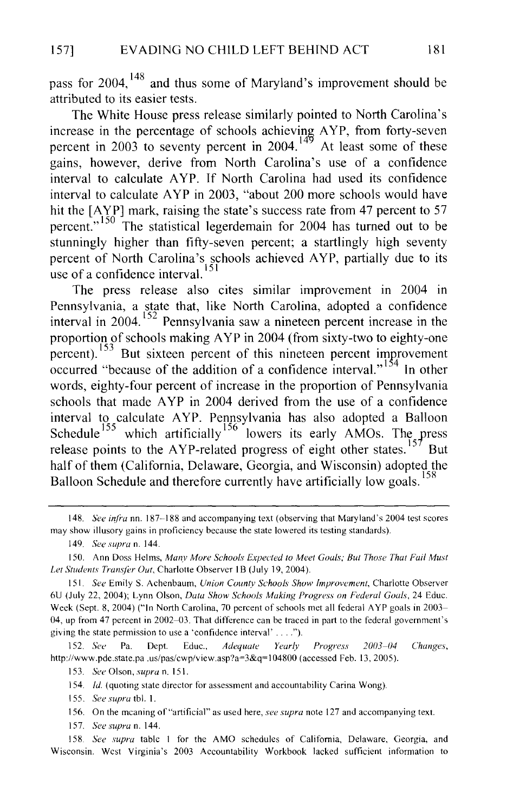pass for 2004, 148 and thus some of Maryland's improvement should be attributed to its easier tests.

The White House press release similarly pointed to North Carolina's increase in the percentage of schools achieving AYP, from forty-seven percent in 2003 to seventy percent in 2004.<sup>149</sup> At least some of these gains, however, derive from North Carolina's use of a confidence interval to calculate A YP. If North Carolina had used its confidence interval to calculate AYP in 2003, "about 200 more schools would have hit the [AYP] mark, raising the state's success rate from 47 percent to 57 percent." 150 The statistical legerdemain for 2004 has turned out to be stunningly higher than fifty-seven percent; a startlingly high seventy percent of North Carolina's schools achieved A YP, partially due to its use of a confidence interval.  $15$ 

The press release also cites similar improvement in 2004 in Pennsylvania, a state that, like North Carolina, adopted a confidence interval in 2004. 152 Pennsylvania saw a nineteen percent increase in the proportion of schools making A YP in 2004 (from sixty-two to eighty-one  $\frac{153}{153}$  But sixteen percent of this nineteen percent improvement occurred "because of the addition of a confidence interval."<sup>154</sup> In other words, eighty-four percent of increase in the proportion of Pennsylvania schools that made A YP in 2004 derived from the use of a confidence interval to calculate A YP. Pennsylvania has also adopted a Balloon Schedule<sup>155</sup> which artificially<sup>156</sup> lowers its early AMOs. The press release points to the AYP-related progress of eight other states.<sup>157</sup> But half of them (California, Delaware, Georgia, and Wisconsin) adopted the Balloon Schedule and therefore currently have artificially low goals.<sup>158</sup>

149. *See supra* n. 144.

152. *See* Pa. Dept. Educ., *Adequate Yearly Progress 20113-114 Changes,*  http://www.pde.state.pa .us/pas/cwp/view.asp?a=3&q=104800 (accessed Feb. 13, 2005).

I 53. *See* Olson, *supra* n. 151.

!54. */d.* (quoting state director for assessment and accountability Carina Wong).

155. *See supra* tbl. I.

I 56. On the meaning of"artificial" as used here, *see supra* note 127 and accompanying text.

I 57. *See supra* n. 144.

I 58. *See supra* table I for the AMO schedules of California, Delaware, Georgia, and Wisconsin. West Virginia's 2003 Accountability Workbook lacked sufficient information to

<sup>148.</sup> *See infra* nn. 187-188 and accompanying text (observing that Maryland's 2004 test scores may show illusory gains in proficiency because the state lowered its testing standards).

I 50. Ann Doss Helms, *Many More Schools Expected to Meet Goals; But Those That Fail Must Let Students Transfer Out, Charlotte Observer IB (July 19, 2004).* 

I 5 I *See* Emily S. Achenbaum, *Union County Schools Show Improvement,* Charlotte Observer 6U (July 22, 2004); Lynn Olson, *Data Show Schools Making Progress on Federal Goals,* 24 Educ. Week (Sept. 8, 2004) ("In North Carolina, 70 percent of schools met all federal A YP goals in 2003- 04, up from 47 percent in 2002-03. That difference can be traced in part to the federal government's giving the state permission to use a 'confidence interval' . . .").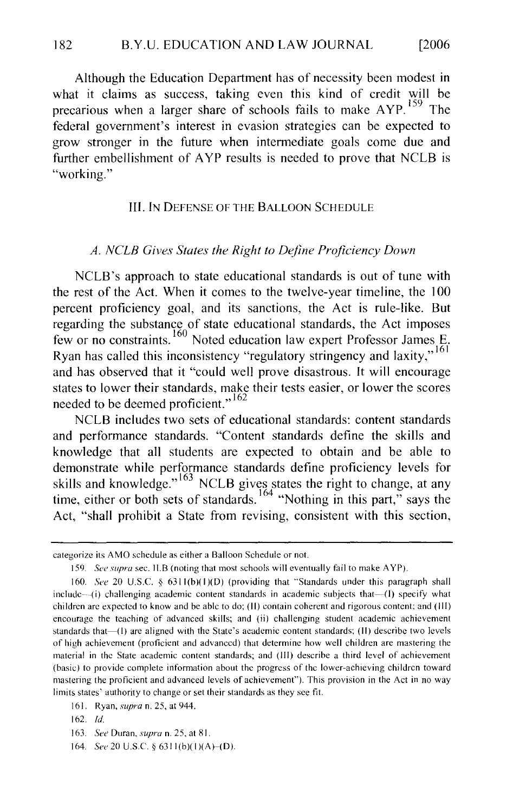where it claims as success, taking even this kind of credit will be considered the credit will be considered will be considered as  $\alpha$ Although the Education Department has of necessity been modest in what it claims as success, taking even this kind of credit will be precarious when a larger share of schools fails to make AYP.<sup>159</sup> The federal government's interest in evasion strategies can be expected to grow stronger in the future when intermediate goals come due and further embellishment of AYP results is needed to prove that NCLB is "working."

#### **III. IN DEFENSE OF THE BALLOON SCHEDULE**

#### A. NCLB Gives States the Right to Define Proficiency Down

 $t_{\rm max}$  is comes to the Act. When it comes to the twelve-year timeline, the I  $0$  $\mu$  percent proficiency grade equivalently standards is out of the Act is rulethe rest of the Act. When it comes to the twelve-year timeline, the 100 percent proficiency goal, and its sanctions, the Act is rule-like. But regarding the substance of state educational standards, the Act imposes few or no constraints.<sup>160</sup> Noted education law expert Professor James E. Ryan has called this inconsistency "regulatory stringency and laxity,"<sup>161</sup> and has observed that it "could well prove disastrous. It will encourage states to lower their standards, make their tests easier, or lower the scores needed to be deemed proficient." $162$ 

NCLB includes two sets of educational standards: content standards and performance standards. "Content standards define the skills and knowledge that all students are expected to obtain and be able to demonstrate while performance standards define proficiency levels for skills and knowledge."<sup>163</sup> NCLB gives states the right to change, at any time, either or both sets of standards.<sup>164</sup> "Nothing in this part," says the Act, "shall prohibit a State from revising, consistent with this section,

159. *Sec supra* sec. 11.8 (noting that most schools will eventually fail to make A YP).

categorize its AMO schedule as either a Balloon Schedule or not.

163. See Duran, *supra* n. 25, at 81.

categorize its AMO schedule as either a Balloon Schedule or not.

<sup>159.</sup> See supra sec. II.B (noting that most schools will eventually fail to make AYP).

<sup>160.</sup> See 20 U.S.C. § 6311(b)(1)(D) (providing that "Standards under this paragraph shall include—(i) challenging academic content standards in academic subjects that— $(I)$  specify what children are expected to know and be able to do; (II) contain coherent and rigorous content; and (III) encourage the teaching of advanced skills; and (ii) challenging student academic achievement standards that  $-$ (1) are aligned with the State's academic content standards; (II) describe two levels of high achievement (proficient and advanced) that determine how well children are mastering the material in the State academic content standards; and (III) describe a third level of achievement (basic) to provide complete information about the progress of the lower-achieving children toward mastering the proficient and advanced levels of achievement"). This provision in the Act in no way limits states' authority to change or set their standards as they see fit.

<sup>161.</sup> Ryan. *supra* n. 25, at 944.

 $162.$  Id.

<sup>164.</sup> See 20 U.S.C. § 6311(b)(1)(A)–(D).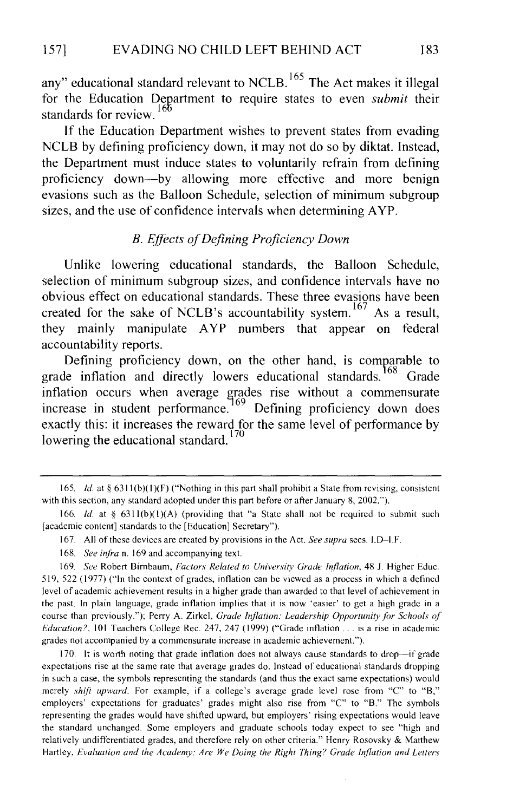any" educational standard relevant to NCLB.<sup>165</sup> The Act makes it illegal for the Education Department to require states to even *submit* their standards for review.<sup>166</sup>

If the Education Department wishes to prevent states from evading NCLB by defining proficiency down, it may not do so by diktat. Instead, the Department must induce states to voluntarily refrain from defining proficiency down-by allowing more effective and more benign evasions such as the Balloon Schedule, selection of minimum subgroup sizes, and the use of confidence intervals when determining AYP.

#### *B. E.ffects of Defining Proficiency Down*

Unlike lowering educational standards, the Balloon Schedule, selection of minimum subgroup sizes, and confidence intervals have no obvious effect on educational standards. These three evasions have been created for the sake of NCLB's accountability system.<sup>167</sup> As a result, they mainly manipulate AYP numbers that appear on federal accountability reports.

Defining proficiency down, on the other hand, is comparable to grade inflation and directly lowers educational standards.<sup>168</sup> Grade inflation occurs when average grades rise without a commensurate increase in student performance.  $169$  Defining proficiency down does exactly this: it increases the reward for the same level of performance by lowering the educational standard.<sup>170</sup>

168. *See infra* n. 169 and accompanying text.

170. It is worth noting that grade inflation does not always cause standards to drop-if grade expectations rise at the same rate that average grades do. Instead of educational standards dropping in such a case, the symbols representing the standards (and thus the exact same expectations) would merely *shift upward.* For example, if a college's average grade level rose from "C" to "B," employers' expectations for graduates' grades might also rise from "C" to "B." The symbols representing the grades would have shifted upward, but employers' rising expectations would leave the standard unchanged. Some employers and graduate schools today expect to see "high and relatively undifferentiated grades, and therefore rely on other criteria." Henry Rosovsky & Matthew Hartley, *Evaluation and the Academy: Are We Doing the Right Thing? Grade Inflation and Letters* 

<sup>165.</sup> *ld.* at § 6311(b)(1)(F) ("Nothing in this part shall prohibit a State from revising, consistent with this section, any standard adopted under this part before or after January 8, 2002.").

<sup>166.</sup> *Id.* at § 6311(b)(1)(A) (providing that "a State shall not be required to submit such [academic content] standards to the [Education] Secretary").

<sup>167.</sup> All of these devices are created by provisions in the Act. *See supra* sees. l.D~l.F.

<sup>169.</sup> *See* Robert Birnbaum, *Factors Related to University Grade Inflation,* 48 J. Higher Educ. 519, 522 (1977) ("In the context of grades, inflation can be viewed as a process in which a defined level of academic achievement results in a higher grade than awarded to that level of achievement in the past. In plain language, grade inflation implies that it is now 'easier' to get a high grade in a course than previously."); Perry A. Zirkel, *Grade Inflation: Leadership Opportunity for Schools of Education?*, 101 Teachers College Rec. 247, 247 (1999) ("Grade inflation . . . is a rise in academic grades not accompanied by a commensurate increase in academic achievement.").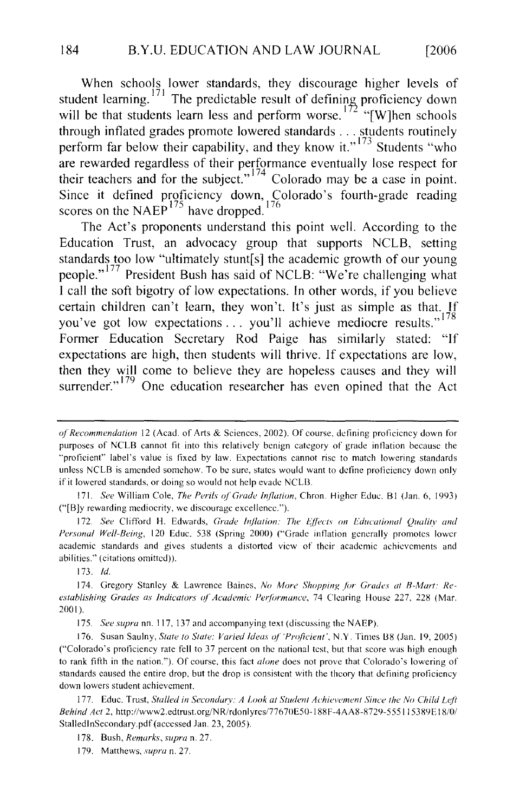When schools lower standards, they discourage higher levels of tudent learning.<sup>171</sup> The predictable result of defining proficiency down will be that students learn less and perform worse.<sup> $172$ </sup> "[W]hen schools through inflated grades promote lowered standards . . . students routinely perform far below their capability, and they know it."  $173$  Students "who are rewarded regardless of their performance eventually lose respect for their teachers and for the subject."<sup>174</sup> Colorado may be a case in point. to Act The Act in the Act is point to the Act in the Act in the Act is point we the this point we the this point is the fourth product to the fourth ending to the fourth of the fourth of the fourth of the fourth of the fou cores on the NAEP<sup> $^{17}$ </sup> have dropped.  $^{170}$ 

The Act's proponents understand this point well. According to the Education Trust, an advocacy group that supports NCLB, setting standards too low "ultimately stunt[s] the academic growth of our young people."<sup>177</sup> President Bush has said of NCLB: "We're challenging what. I call the soft bigotry of low expectations. In other words, if you believe certain children can't learn, they won't. It's just as simple as that. If you've got low expectations . . you'll achieve mediocre results."<sup>178</sup> Former Education Secretary Rod Paige has similarly stated: "If expectations are high, then students will thrive. If expectations are low, then they will come to believe they are hopeless causes and they will

*Personal Well-Being, The Ferns of Grade inflation,* Chron. Figher Educ. Dr (Jan. 0, 1995) actual standards and given gives students and gives students and the theories are achievements and the theories

 $\frac{1}{2}$ . see Christian in Eq. *Personal Well-Being*, 120 Educ. 538 (Spring 2000) ("Grade inflation generally promotes lower academic standards and gives students a distorted view of their academic achievements and abilities." (citations omitted)). *establishing Grades as Indicators of Academic PerjiH<sub>2</sub>* Clearing House 227, 22S (Mar. 22S (Mar. 22S (Mar. 22S (Mar. 22S (Mar. 22S (Mar. 22S (Mar. 22S (Mar. 22S (Mar. 22S (Mar. 22S (Mar. 22S (Mar. 22S (Mar. 22S (Mar. 22S

 $\overline{\phantom{a}}$ 

to rank *supra* fin, 117, for any accompanying lext *(discussing the NAET*).

176. Susan Saulny, State to State: Varied Ideas of 'Proficient', N.Y. Times B8 (Jan. 19, 2005) ("Colorado's proficiency rate fell to 37 percent on the national test, but that score was high enough to rank fifth in the nation."). Of course, this fact alone does not prove that Colorado's lowering of standards caused the entire drop, but the drop is consistent with the theory that defining proficiency down lowers student achievement.

177. Educ. Trust, *Stalled in Secondary: A Look at Student Achievement Since the No Child Left* Behind Act 2, http://www2.edtrust.org/NR/rdonlyrcs/77670E50-188F-4AA8-8729-555115389E18/0/ StalledInSecondary.pdf (accessed Jan. 23, 2005).

178. Bush, Remarks, supra n. 27.

179. Matthews, supra n. 27.

<sup>&</sup>quot;proficient" label's value is fixed by law. Expectations cannot rise to match lowering standards recommendation  $12$  (Acad. of Arts & Sciences, 2002). Or course, defining proficiency down to purposes of NCLB cannot fit into this relatively benign category of grade inflation because the "proficient" label's value is fixed by law. Expectations cannot risc to match lowering standards unless NCLB is amended somehow. To be sure, states would want to define proficiency down only if it lowered standards, or doing so would not help evade NCLB. 172. *See* Clifford H. Edwards, *Grade Inflation:* Till! *lojfi!Cts on Educational Qua/ill' and* 

<sup>175.</sup> See superstanding a *Earthcace Balles, the more imapping for Studie* establishing Grades as Indicators of Academic Performance, 74 Clearing House 227, 228 (Mar. 2001). ( $\frac{1}{\sqrt{2}}$  profiles profiles to 37 percent on the national test, but that score was high enough enough enough enough enough enough enough enough enough enough enough enough enough enough enough enough enough enough eno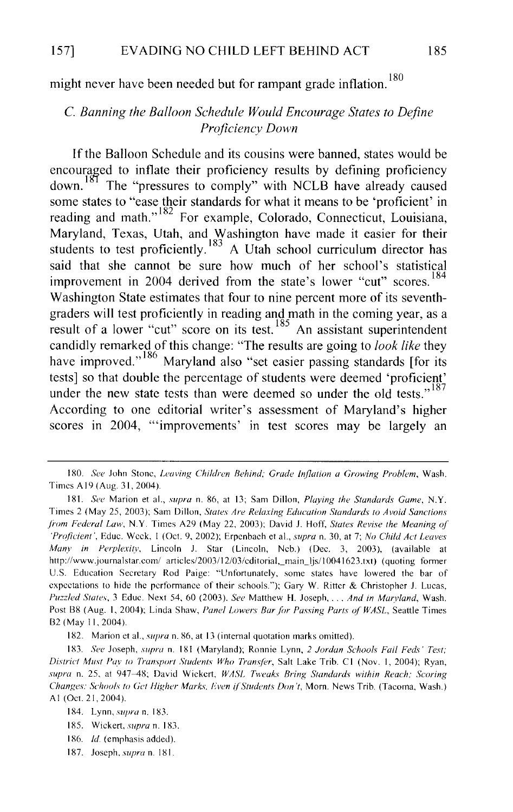might never have been needed but for rampant grade inflation.<sup>180</sup>

#### C. *Banning the Balloon Schedule Would Encourage States to Define Proficiency Down*

If the Balloon Schedule and its cousins were banned, states would be encouraged to inflate their proficiency results by defining proficiency down.<sup>181</sup> The "pressures to comply" with NCLB have already caused some states to "ease their standards for what it means to be 'proficient' in reading and math."<sup>182</sup> For example, Colorado, Connecticut, Louisiana, Maryland, Texas, Utah, and Washington have made it easier for their students to test proficiently.<sup>183</sup> A Utah school curriculum director has said that she cannot be sure how much of her school's statistical improvement in 2004 derived from the state's lower "cut" scores.<sup>184</sup> Washington State estimates that four to nine percent more of its seventhgraders will test proficiently in reading and math in the coming year, as a result of a lower "cut" score on its test.  $185$  An assistant superintendent candidly remarked of this change: "The results are going to *look like* they have improved."<sup>186</sup> Maryland also "set easier passing standards [for its] tests] so that double the percentage of students were deemed 'proficient' under the new state tests than were deemed so under the old tests."<sup>187</sup> According to one editorial writer's assessment of Maryland's higher scores in 2004, '"improvements' in test scores may be largely an

<sup>180.</sup> See John Stone, *Leaving Children Behind; Grade Inflation a Growing Problem*, Wash. Times A 19 (Aug. 31, 2004).

<sup>181.</sup> *See* Marion et al., *supra* n. 86, at 13; Sam Dillon, *Playing the Standards Game,* N.Y. Times 2 (May 25, 2003); Sam Dillon, *States Are Relaxing Education Standards to Avoid Sanctions from Federal Law,* N.Y. Times A29 (May 22, 2003); David J. Hoff, *States Revise the Meaning ol 'Proficient',* Educ. Week, I (Oct. 9, 2002); Erpcnbach eta!., *supra* n. 30, at 7; *No Child Act Leaves Many in Perplexity,* Lincoln J. Star (Lincoln, Ncb.) (Dec. 3, 2003), (available at http://www.journalstar.com/ articles/2003/12/03/cditorial,\_main\_ljs/10041623.txt) (quoting former U.S. Education Secretary Rod Paige: "Unfortunately, some states have lowered the bar of expectations to hide the performance of their schools."); Gary W. Ritter & Christopher J. Lucas, *Puzzled States,* 3 Educ. Next 54, 60 (2003). *See* Matthew H. Joseph, ... *And in Marvland,* Wash. Post B8 (Aug. 1, 2004); Linda Shaw, *Panel Lowers Bar for Passing Parts of WASL*, Seattle Times B2 (May 11, 2004).

<sup>182.</sup> Marion et al., *supra* n. 86, at 13 (internal quotation marks omitted).

<sup>183.</sup> *See* Joseph, *supra* n. 181 (Maryland); Ronnie Lynn, *2 Jordan Schools Fail Feds' Test; District Must Pay to Transport Students Who Transfer*, Salt Lake Trib. C1 (Nov. 1, 2004); Ryan, *supra* n. 25, at 947-48; David Wickert, *WASL Tweaks Bring Standards within Reach; Scoring Changes: Schools to Get Higher Marks, Even if Students Don't, Morn. News Trib. (Tacoma, Wash.)* AI (Oct. 21, 2004).

<sup>184.</sup> Lynn, *supra* n. 183.

<sup>185.</sup> Wickert, *supra* n. 183.

<sup>186.</sup> *!d* (emphasis added).

<sup>187.</sup> Joseph, *supra* n. 181.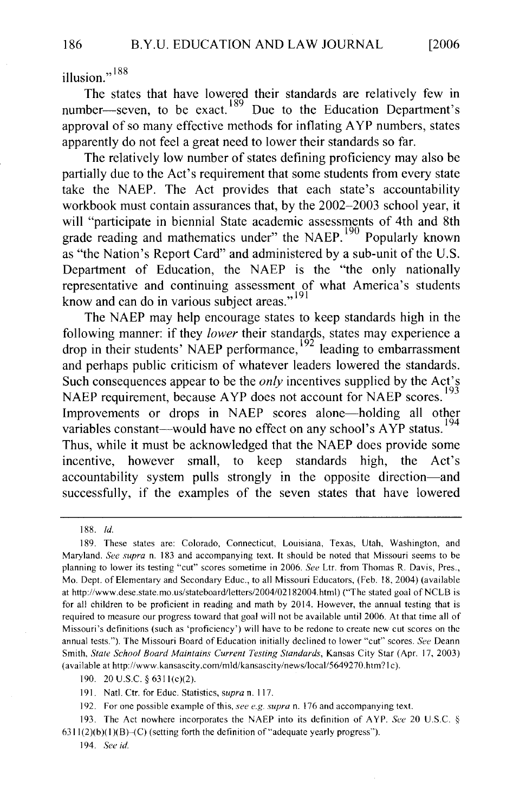$\cdot$ , 188

 $\frac{1}{2}$  and  $\frac{1}{2}$  due to the Education Department's Department's Department's Department's Department's Department's Department of  $\frac{1}{2}$ approximate many effective methods for  $\frac{189}{8}$  numbers, states in the state of intervention and  $\frac{189}{8}$  numbers, states in the state of intervention of the state of the state of the state of the state of the state  $\mu$ moc<sub>l</sub>-seven, to be exact. Due to the Education Depart approval of so many effective methods for inflating AYP numbers, states apparently do not feel a great need to lower their standards so far.

The relatively low number of states defining proficiency may also be partially due to the Act's requirement that some students from every state take the NAEP. The Act provides that each state's accountability workbook must contain assurances that, by the 2002–2003 school year, it will "participate in biennial State academic assessments of 4th and 8th as "the Nation's Report Card" and administered by a sub-unit of the U.S.  $\alpha$  rade reading and mathematics under the NAEP. Popularly known as "the Nation's Report Card" and administered by a sub-unit of the U.S. Department of Education, the NAEP is the "the only nationally representative and continuing assessment of what America's students know and can do in various subject areas."<sup>191</sup>

The NAEP may help encourage states to keep standards high in the following manner: if they lower their standards, states may experience a drop in their students' NAEP performance,  $^{192}$  leading to embarrassment such consequences and *performance*, reading to embarrassment Ind perhaps public criticism of whatever leaders lowered the standards. outh consequences appear to be the *only* incentives supplied by the Act s<sup>193</sup> VAEP requirement, because  $AYP$  does not account for NAEP scores.  $1/3$ The interesting of drops in NAEP scores alone—holding an other  $^{194}$ anabies constant—would have no effect on any school  $S$   $A$  if status. Thus, while it must be acknowledged that the NAEP does provide some incentive, however small, to keep standards high, the Act's accountability system pulls strongly in the opposite direction-and successfully, if the examples of the seven states that have lowered

189. These states are: Colorado, Connecticut, Louisiana, Texas, Utah, Washington, and

Maryland. *See supra* n. 183 and accompanying text. It should be noted that M is so uri seems to be

<sup>189.</sup> These states are: Colorado, Connecticut, Louisiana, Texas, Utah, Washington, and Maryland. See supra n. 183 and accompanying text. It should be noted that Missouri seems to be planning to lower its testing "cut" scores sometime in 2006. See Ltr. from Thomas R. Davis, Pres., Mo. Dept. of Elementary and Secondary Educ., to all Missouri Educators, (Feb. 18, 2004) (available at http://www.dese.state.mo.us/stateboard/letters/2004/02182004.html) ("The stated goal of NCLB is for all children to be proficient in reading and math by 2014. However, the annual testing that is required to measure our progress toward that goal will not be available until 2006. At that time all of Missouri's definitions (such as 'proficiency') will have to be redone to create new cut scores on the annual tests."). The Missouri Board of Education initially declined to lower "cut" scores. See Deann Smith, State School Board Maintains Current Testing Standards, Kansas City Star (Apr. 17, 2003) (available at http://www.kansascity.com/mld/kansascity/news/local/5649270.htm?1c).

<sup>190. 20</sup> U.S.C. § 6311(c)(2).

<sup>191.</sup> Natl. Ctr. for Educ. Statistics, supra n. 117.

<sup>192.</sup> For one possible example of this, see e.g. supra n. 176 and accompanying text.

<sup>193.</sup> The Act nowhere incorporates the NAEP into its definition of AYP. See 20 U.S.C. §  $6311(2)(b)(1)(B)$  (c) (setting forth the definition of "adequate yearly progress").

<sup>194.</sup> See id.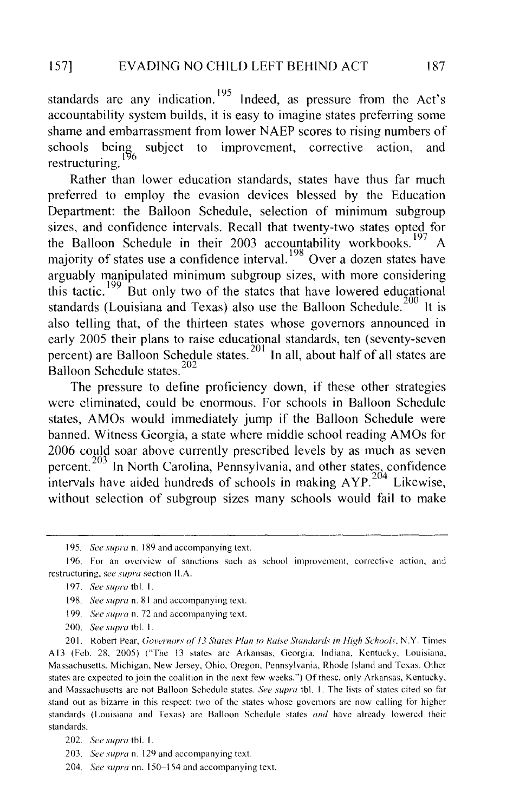standards are any indication.<sup>195</sup> Indeed, as pressure from the Act's accountability system builds, it is easy to imagine states preferring some shame and embarrassment from lower NAEP scores to rising numbers of schools being subject to improvement, corrective action, and schools schools being subject to improvement, corrective<br>restructuring.

Rather than lower education standards, states have thus far much preferred to employ the evasion devices blessed by the Education Department: the Balloon Schedule, selection of minimum subgroup sizes, and confidence intervals. Recall that twenty-two states opted for the Balloon Schedule in their 2003 accountability workbooks.  $\frac{197}{6}$ majority of states use a confidence interval.<sup>196</sup> Over a dozen states have arguably manipulated minimum subgroup sizes, with more considering this tactic.<sup>199</sup> But only two of the states that have lowered educational standards (Louisiana and Texas) also use the Balloon Schedule.<sup>200</sup> It is also telling that, of the thirteen states whose governors announced in ercently 2005 their plans to raise educational standards, ten (seventy-sever percent) are Balloon Schedule Balloon Schedule states.<sup>202</sup>

The pressure to define proficiency down, if these other strategies were eliminated, could be enormous. For schools in Balloon Schedule states, AMOs would immediately jump if the Balloon Schedule were banned. Witness Georgia, a state where middle school reading AMOs for 2006 could soar above currently prescribed levels by as much as seven percent.<sup>203</sup> In North Carolina, Pennsylvania, and other states, confidence intervals have aided hundreds of schools in making  $AYP$ <sup>204</sup> Likewise, without selection of subgroup sizes many schools would fail to make

- 199. *See supra* n. 72 and accompanying text.
- 200. See supra tbl. 1.

201. Robert Pear, Governors of 13 States Plan to Raise Standards in High Schools, N.Y. Times A13 (Feb. 28, 2005) ("The 13 states are Arkansas, Georgia, Indiana, Kentucky, Louisiana, Massachusetts, Michigan, New Jersey, Ohio, Oregon, Pennsylvania, Rhode Island and Texas. Other states are expected to join the coalition in the next few weeks.") Of these, only Arkansas, Kentucky, and Massachusetts are not Balloon Schedule states. See supra tbl. 1. The lists of states cited so far stand out as bizarre in this respect: two of the states whose governors are now calling for higher standards (Louisiana and Texas) are Balloon Schedule states and have already lowered their standards.

204. See supra nn. 150-154 and accompanying text.

<sup>195.</sup> See supra n. 189 and accompanying text.

<sup>196.</sup> For an overview of sanctions such as school improvement, corrective action, and restructuring, see supra section II.A.

<sup>197.</sup> *See supra* tbl. 1.

<sup>198.</sup> *See supra* n. 81 and accompanying text.

<sup>202.</sup> See supra tbl. 1.

<sup>203.</sup> *See supra* n. 129 and accompanying text.